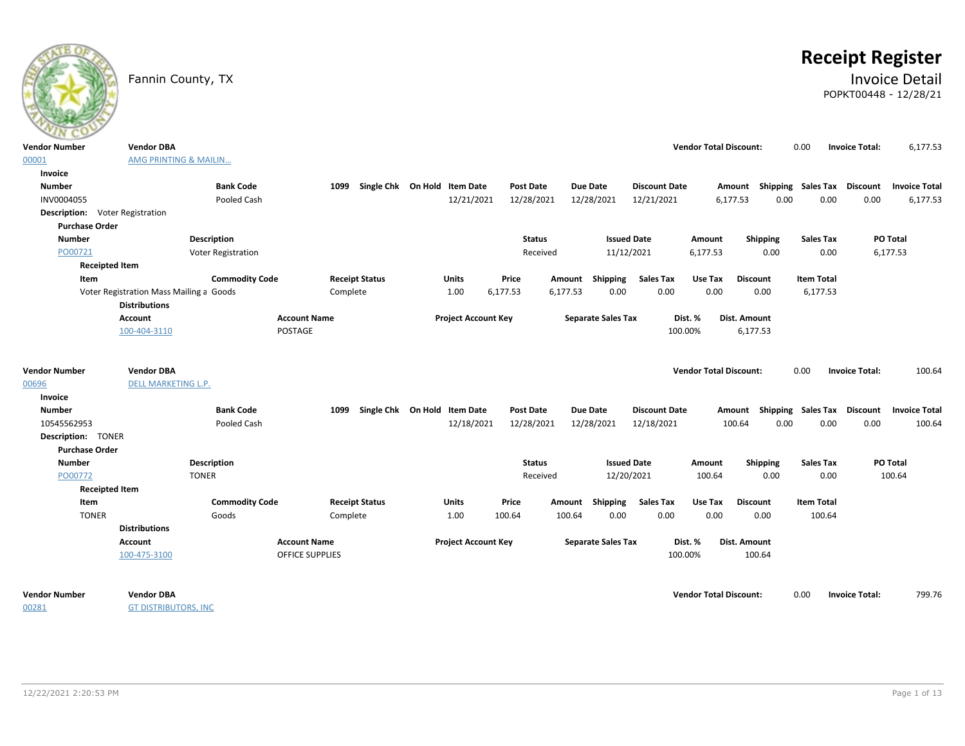# **Receipt Register**

### Fannin County, TX **Invoice Detail** POPKT00448 - 12/28/21

| $\sim$                                          |                                                                 |                           |                        |                                   |                            |                  |               |                 |                           |                      |                               |                 |                 |                   |                                    |                      |
|-------------------------------------------------|-----------------------------------------------------------------|---------------------------|------------------------|-----------------------------------|----------------------------|------------------|---------------|-----------------|---------------------------|----------------------|-------------------------------|-----------------|-----------------|-------------------|------------------------------------|----------------------|
| <b>Vendor Number</b>                            | <b>Vendor DBA</b>                                               |                           |                        |                                   |                            |                  |               |                 |                           |                      | <b>Vendor Total Discount:</b> |                 |                 | 0.00              | <b>Invoice Total:</b>              | 6,177.53             |
| 00001                                           | AMG PRINTING & MAILIN                                           |                           |                        |                                   |                            |                  |               |                 |                           |                      |                               |                 |                 |                   |                                    |                      |
| Invoice                                         |                                                                 |                           |                        |                                   |                            |                  |               |                 |                           |                      |                               |                 |                 |                   |                                    |                      |
| <b>Number</b>                                   |                                                                 | <b>Bank Code</b>          |                        | 1099 Single Chk On Hold Item Date |                            | <b>Post Date</b> |               | <b>Due Date</b> |                           | <b>Discount Date</b> |                               |                 |                 |                   | Amount Shipping Sales Tax Discount | <b>Invoice Total</b> |
| INV0004055                                      |                                                                 | Pooled Cash               |                        |                                   | 12/21/2021                 | 12/28/2021       |               | 12/28/2021      |                           | 12/21/2021           |                               | 6,177.53        | 0.00            | 0.00              | 0.00                               | 6,177.53             |
| <b>Description:</b> Voter Registration          |                                                                 |                           |                        |                                   |                            |                  |               |                 |                           |                      |                               |                 |                 |                   |                                    |                      |
| <b>Purchase Order</b>                           |                                                                 |                           |                        |                                   |                            |                  |               |                 |                           |                      |                               |                 |                 |                   |                                    |                      |
| <b>Number</b>                                   |                                                                 | <b>Description</b>        |                        |                                   |                            |                  | <b>Status</b> |                 | <b>Issued Date</b>        |                      | Amount                        |                 | Shipping        | <b>Sales Tax</b>  |                                    | PO Total             |
| PO00721                                         |                                                                 | <b>Voter Registration</b> |                        |                                   |                            |                  | Received      |                 | 11/12/2021                |                      | 6,177.53                      |                 | 0.00            | 0.00              |                                    | 6,177.53             |
| <b>Receipted Item</b>                           |                                                                 |                           |                        |                                   |                            |                  |               |                 |                           |                      |                               |                 |                 |                   |                                    |                      |
| Item                                            |                                                                 | <b>Commodity Code</b>     |                        | <b>Receipt Status</b>             | Units                      | Price            |               |                 | Amount Shipping           | <b>Sales Tax</b>     | Use Tax                       | <b>Discount</b> |                 | <b>Item Total</b> |                                    |                      |
|                                                 | Voter Registration Mass Mailing a Goods<br><b>Distributions</b> |                           | Complete               |                                   | 1.00                       | 6,177.53         | 6,177.53      |                 | 0.00                      | 0.00                 | 0.00                          | 0.00            |                 | 6,177.53          |                                    |                      |
|                                                 | Account                                                         |                           | <b>Account Name</b>    |                                   | <b>Project Account Key</b> |                  |               |                 | <b>Separate Sales Tax</b> |                      | Dist. %                       | Dist. Amount    |                 |                   |                                    |                      |
|                                                 | 100-404-3110                                                    |                           | POSTAGE                |                                   |                            |                  |               |                 |                           | 100.00%              |                               | 6,177.53        |                 |                   |                                    |                      |
| <b>Vendor Number</b><br>00696<br><b>Invoice</b> | <b>Vendor DBA</b><br><b>DELL MARKETING L.P.</b>                 |                           |                        |                                   |                            |                  |               |                 |                           |                      | <b>Vendor Total Discount:</b> |                 |                 | 0.00              | <b>Invoice Total:</b>              | 100.64               |
| <b>Number</b>                                   |                                                                 | <b>Bank Code</b>          | 1099                   | Single Chk On Hold Item Date      |                            | <b>Post Date</b> |               | <b>Due Date</b> |                           | <b>Discount Date</b> |                               |                 |                 |                   | Amount Shipping Sales Tax Discount | <b>Invoice Total</b> |
| 10545562953                                     |                                                                 | Pooled Cash               |                        |                                   | 12/18/2021                 | 12/28/2021       |               | 12/28/2021      |                           | 12/18/2021           |                               | 100.64          | 0.00            | 0.00              | 0.00                               | 100.64               |
| <b>Description: TONER</b>                       |                                                                 |                           |                        |                                   |                            |                  |               |                 |                           |                      |                               |                 |                 |                   |                                    |                      |
| <b>Purchase Order</b>                           |                                                                 |                           |                        |                                   |                            |                  |               |                 |                           |                      |                               |                 |                 |                   |                                    |                      |
| <b>Number</b>                                   |                                                                 | <b>Description</b>        |                        |                                   |                            |                  | <b>Status</b> |                 | <b>Issued Date</b>        |                      | Amount                        |                 | <b>Shipping</b> | <b>Sales Tax</b>  |                                    | PO Total             |
| PO00772                                         |                                                                 | <b>TONER</b>              |                        |                                   |                            |                  | Received      |                 | 12/20/2021                |                      | 100.64                        |                 | 0.00            | 0.00              |                                    | 100.64               |
| <b>Receipted Item</b>                           |                                                                 |                           |                        |                                   |                            |                  |               |                 |                           |                      |                               |                 |                 |                   |                                    |                      |
| Item                                            |                                                                 | <b>Commodity Code</b>     |                        | <b>Receipt Status</b>             | <b>Units</b>               | Price            |               | Amount          | Shipping                  | <b>Sales Tax</b>     | Use Tax                       | <b>Discount</b> |                 | <b>Item Total</b> |                                    |                      |
| <b>TONER</b>                                    |                                                                 | Goods                     | Complete               |                                   | 1.00                       | 100.64           | 100.64        |                 | 0.00                      | 0.00                 | 0.00                          | 0.00            |                 | 100.64            |                                    |                      |
|                                                 | <b>Distributions</b>                                            |                           |                        |                                   |                            |                  |               |                 |                           |                      |                               |                 |                 |                   |                                    |                      |
|                                                 | Account                                                         |                           | <b>Account Name</b>    |                                   | <b>Project Account Key</b> |                  |               |                 | <b>Separate Sales Tax</b> |                      | Dist. %                       | Dist. Amount    |                 |                   |                                    |                      |
|                                                 | 100-475-3100                                                    |                           | <b>OFFICE SUPPLIES</b> |                                   |                            |                  |               |                 |                           | 100.00%              |                               | 100.64          |                 |                   |                                    |                      |
| <b>Vendor Number</b>                            | <b>Vendor DBA</b>                                               |                           |                        |                                   |                            |                  |               |                 |                           |                      | <b>Vendor Total Discount:</b> |                 |                 | 0.00              | <b>Invoice Total:</b>              | 799.76               |

00281

**GT DISTRIBUTORS, INC.**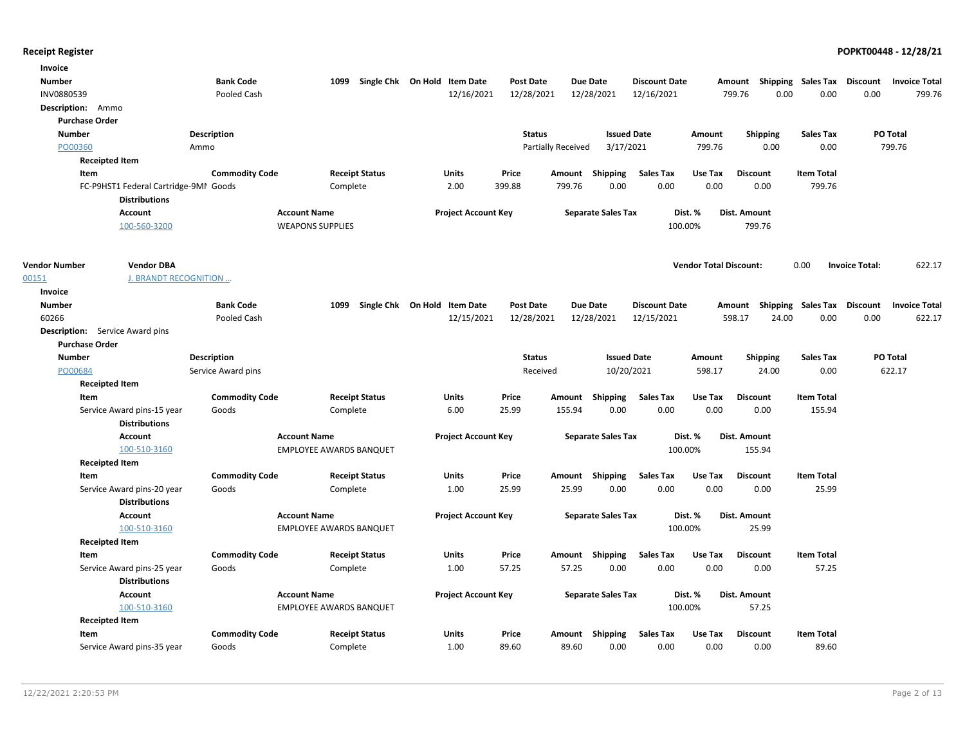| Invoice                                   |                       |                                |                              |                    |                           |                             |                                    |                             |                                 |
|-------------------------------------------|-----------------------|--------------------------------|------------------------------|--------------------|---------------------------|-----------------------------|------------------------------------|-----------------------------|---------------------------------|
| Number                                    | <b>Bank Code</b>      | 1099                           | Single Chk On Hold Item Date | <b>Post Date</b>   | <b>Due Date</b>           | <b>Discount Date</b>        | Amount Shipping Sales Tax Discount |                             | <b>Invoice Total</b>            |
| INV0880539                                | Pooled Cash           |                                | 12/16/2021                   | 12/28/2021         | 12/28/2021                | 12/16/2021                  | 0.00<br>799.76                     | 0.00                        | 0.00<br>799.76                  |
| Description: Ammo                         |                       |                                |                              |                    |                           |                             |                                    |                             |                                 |
| <b>Purchase Order</b>                     |                       |                                |                              |                    |                           |                             |                                    |                             |                                 |
| <b>Number</b>                             | <b>Description</b>    |                                |                              | <b>Status</b>      | <b>Issued Date</b>        | Amount                      | <b>Shipping</b>                    | Sales Tax                   | PO Total                        |
| PO00360                                   | Ammo                  |                                |                              | Partially Received | 3/17/2021                 | 799.76                      | 0.00                               | 0.00                        | 799.76                          |
| <b>Receipted Item</b>                     |                       |                                |                              |                    |                           |                             |                                    |                             |                                 |
| Item                                      | <b>Commodity Code</b> | <b>Receipt Status</b>          | Units                        | Price              | Shipping<br>Amount        | <b>Sales Tax</b><br>Use Tax | <b>Discount</b>                    | <b>Item Total</b>           |                                 |
| FC-P9HST1 Federal Cartridge-9MI Goods     |                       | Complete                       | 2.00                         | 399.88             | 0.00<br>799.76            | 0.00                        | 0.00<br>0.00                       | 799.76                      |                                 |
| <b>Distributions</b>                      |                       |                                |                              |                    |                           |                             |                                    |                             |                                 |
| <b>Account</b>                            | <b>Account Name</b>   |                                | <b>Project Account Key</b>   |                    | <b>Separate Sales Tax</b> | Dist. %                     | Dist. Amount                       |                             |                                 |
| 100-560-3200                              |                       | <b>WEAPONS SUPPLIES</b>        |                              |                    |                           | 100.00%                     | 799.76                             |                             |                                 |
| <b>Vendor DBA</b><br><b>Vendor Number</b> |                       |                                |                              |                    |                           |                             | <b>Vendor Total Discount:</b>      | 0.00                        | 622.17<br><b>Invoice Total:</b> |
| J. BRANDT RECOGNITION<br>00151            |                       |                                |                              |                    |                           |                             |                                    |                             |                                 |
| Invoice                                   |                       |                                |                              |                    |                           |                             |                                    |                             |                                 |
| <b>Number</b>                             | <b>Bank Code</b>      | 1099                           | Single Chk On Hold Item Date | <b>Post Date</b>   | Due Date                  | <b>Discount Date</b>        | Amount                             | Shipping Sales Tax Discount | <b>Invoice Total</b>            |
| 60266                                     | Pooled Cash           |                                | 12/15/2021                   | 12/28/2021         | 12/28/2021                | 12/15/2021                  | 598.17<br>24.00                    | 0.00                        | 0.00<br>622.17                  |
| <b>Description:</b> Service Award pins    |                       |                                |                              |                    |                           |                             |                                    |                             |                                 |
| <b>Purchase Order</b>                     |                       |                                |                              |                    |                           |                             |                                    |                             |                                 |
| <b>Number</b>                             | Description           |                                |                              | <b>Status</b>      | <b>Issued Date</b>        | Amount                      | <b>Shipping</b>                    | <b>Sales Tax</b>            | PO Total                        |
| PO00684                                   | Service Award pins    |                                |                              | Received           | 10/20/2021                | 598.17                      | 24.00                              | 0.00                        | 622.17                          |
| <b>Receipted Item</b>                     |                       |                                |                              |                    |                           |                             |                                    |                             |                                 |
| Item                                      | <b>Commodity Code</b> | <b>Receipt Status</b>          | Units                        | Price              | Amount<br>Shipping        | <b>Sales Tax</b><br>Use Tax | <b>Discount</b>                    | <b>Item Total</b>           |                                 |
| Service Award pins-15 year                | Goods                 | Complete                       | 6.00                         | 25.99              | 155.94<br>0.00            | 0.00                        | 0.00<br>0.00                       | 155.94                      |                                 |
| <b>Distributions</b>                      |                       |                                |                              |                    |                           |                             |                                    |                             |                                 |
| Account                                   | <b>Account Name</b>   |                                | <b>Project Account Key</b>   |                    | <b>Separate Sales Tax</b> | Dist. %                     | Dist. Amount                       |                             |                                 |
| 100-510-3160                              |                       | <b>EMPLOYEE AWARDS BANQUET</b> |                              |                    |                           | 100.00%                     | 155.94                             |                             |                                 |
| <b>Receipted Item</b>                     |                       |                                |                              |                    |                           |                             |                                    |                             |                                 |
| Item                                      | <b>Commodity Code</b> | <b>Receipt Status</b>          | <b>Units</b>                 | Price              | Amount Shipping           | <b>Sales Tax</b><br>Use Tax | <b>Discount</b>                    | <b>Item Total</b>           |                                 |
| Service Award pins-20 year                | Goods                 | Complete                       | 1.00                         | 25.99              | 25.99<br>0.00             | 0.00                        | 0.00<br>0.00                       | 25.99                       |                                 |
| <b>Distributions</b>                      |                       |                                |                              |                    |                           |                             |                                    |                             |                                 |
| <b>Account</b>                            | <b>Account Name</b>   |                                | <b>Project Account Key</b>   |                    | <b>Separate Sales Tax</b> | Dist. %                     | Dist. Amount                       |                             |                                 |
| 100-510-3160                              |                       | <b>EMPLOYEE AWARDS BANQUET</b> |                              |                    |                           | 100.00%                     | 25.99                              |                             |                                 |
| <b>Receipted Item</b><br>Item             | <b>Commodity Code</b> | <b>Receipt Status</b>          | Units                        | Price              | Shipping<br>Amount        | <b>Sales Tax</b><br>Use Tax | <b>Discount</b>                    | <b>Item Total</b>           |                                 |
| Service Award pins-25 year                | Goods                 | Complete                       | 1.00                         | 57.25              | 57.25<br>0.00             | 0.00                        | 0.00<br>0.00                       | 57.25                       |                                 |
| <b>Distributions</b>                      |                       |                                |                              |                    |                           |                             |                                    |                             |                                 |
| Account                                   | <b>Account Name</b>   |                                | <b>Project Account Key</b>   |                    | <b>Separate Sales Tax</b> | Dist. %                     | Dist. Amount                       |                             |                                 |
| 100-510-3160                              |                       | <b>EMPLOYEE AWARDS BANQUET</b> |                              |                    |                           | 100.00%                     | 57.25                              |                             |                                 |
| <b>Receipted Item</b>                     |                       |                                |                              |                    |                           |                             |                                    |                             |                                 |
| Item                                      | <b>Commodity Code</b> | <b>Receipt Status</b>          | <b>Units</b>                 | Price              | Amount<br>Shipping        | <b>Sales Tax</b><br>Use Tax | <b>Discount</b>                    | <b>Item Total</b>           |                                 |
| Service Award pins-35 year                | Goods                 | Complete                       | 1.00                         | 89.60              | 89.60<br>0.00             | 0.00                        | 0.00<br>0.00                       | 89.60                       |                                 |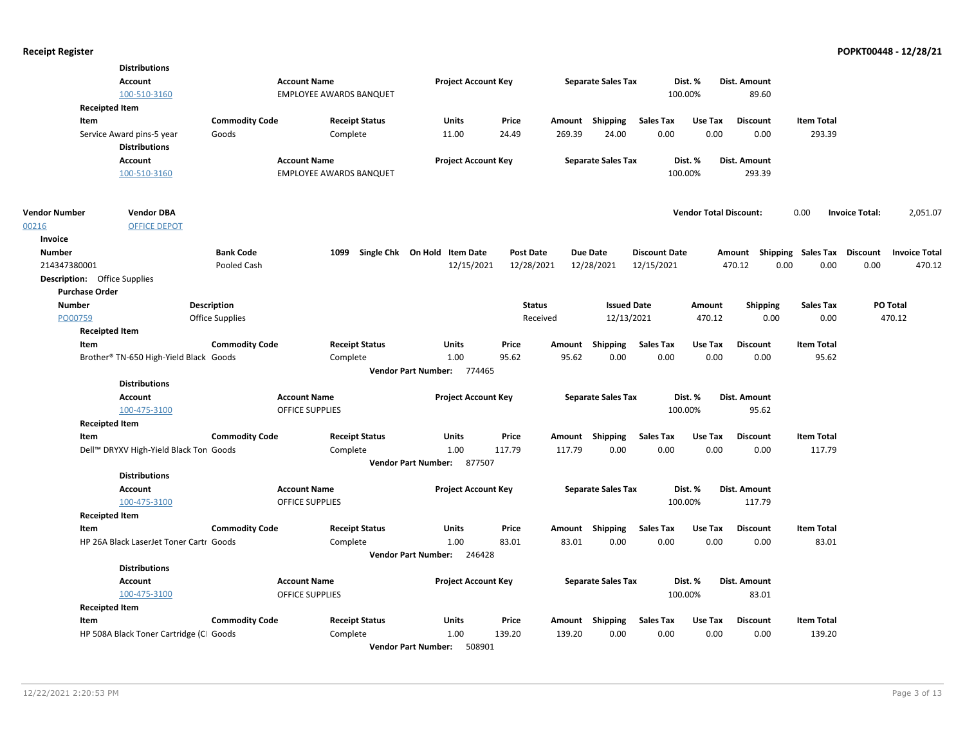|                       | <b>Distributions</b>                    |                       |                                |                                      |                  |          |                           |                      |                               |                                    |                   |                       |                      |
|-----------------------|-----------------------------------------|-----------------------|--------------------------------|--------------------------------------|------------------|----------|---------------------------|----------------------|-------------------------------|------------------------------------|-------------------|-----------------------|----------------------|
|                       | Account                                 |                       | <b>Account Name</b>            | <b>Project Account Key</b>           |                  |          | <b>Separate Sales Tax</b> |                      | Dist. %                       | Dist. Amount                       |                   |                       |                      |
|                       | 100-510-3160                            |                       | <b>EMPLOYEE AWARDS BANQUET</b> |                                      |                  |          |                           |                      | 100.00%                       | 89.60                              |                   |                       |                      |
|                       | <b>Receipted Item</b>                   |                       |                                |                                      |                  |          |                           |                      |                               |                                    |                   |                       |                      |
|                       | Item                                    | <b>Commodity Code</b> | <b>Receipt Status</b>          | Units                                | Price            |          | Amount Shipping           | <b>Sales Tax</b>     | Use Tax                       | <b>Discount</b>                    | <b>Item Total</b> |                       |                      |
|                       | Service Award pins-5 year               | Goods                 | Complete                       | 11.00                                | 24.49            | 269.39   | 24.00                     | 0.00                 | 0.00                          | 0.00                               | 293.39            |                       |                      |
|                       | <b>Distributions</b>                    |                       |                                |                                      |                  |          |                           |                      |                               |                                    |                   |                       |                      |
|                       | Account                                 |                       | <b>Account Name</b>            | <b>Project Account Key</b>           |                  |          | <b>Separate Sales Tax</b> |                      | Dist. %                       | Dist. Amount                       |                   |                       |                      |
|                       | 100-510-3160                            |                       | <b>EMPLOYEE AWARDS BANQUET</b> |                                      |                  |          |                           |                      | 100.00%                       | 293.39                             |                   |                       |                      |
| <b>Vendor Number</b>  | <b>Vendor DBA</b>                       |                       |                                |                                      |                  |          |                           |                      | <b>Vendor Total Discount:</b> |                                    | 0.00              | <b>Invoice Total:</b> | 2,051.07             |
| 00216                 | <b>OFFICE DEPOT</b>                     |                       |                                |                                      |                  |          |                           |                      |                               |                                    |                   |                       |                      |
| Invoice               |                                         |                       |                                |                                      |                  |          |                           |                      |                               |                                    |                   |                       |                      |
| <b>Number</b>         |                                         | <b>Bank Code</b>      | 1099                           | Single Chk On Hold Item Date         | <b>Post Date</b> |          | <b>Due Date</b>           | <b>Discount Date</b> |                               | Amount Shipping Sales Tax Discount |                   |                       | <b>Invoice Total</b> |
| 214347380001          |                                         | Pooled Cash           |                                | 12/15/2021                           | 12/28/2021       |          | 12/28/2021                | 12/15/2021           |                               | 470.12                             | 0.00<br>0.00      | 0.00                  | 470.12               |
|                       | <b>Description:</b> Office Supplies     |                       |                                |                                      |                  |          |                           |                      |                               |                                    |                   |                       |                      |
| <b>Purchase Order</b> |                                         |                       |                                |                                      |                  |          |                           |                      |                               |                                    |                   |                       |                      |
| <b>Number</b>         |                                         | Description           |                                |                                      | <b>Status</b>    |          | <b>Issued Date</b>        |                      | Amount                        | <b>Shipping</b>                    | <b>Sales Tax</b>  | PO Total              |                      |
| PO00759               |                                         | Office Supplies       |                                |                                      |                  | Received | 12/13/2021                |                      | 470.12                        | 0.00                               | 0.00              |                       | 470.12               |
|                       | <b>Receipted Item</b>                   |                       |                                |                                      |                  |          |                           |                      |                               |                                    |                   |                       |                      |
|                       | Item                                    | <b>Commodity Code</b> | <b>Receipt Status</b>          | Units                                | Price            |          | Amount Shipping           | <b>Sales Tax</b>     | Use Tax                       | <b>Discount</b>                    | <b>Item Total</b> |                       |                      |
|                       | Brother® TN-650 High-Yield Black Goods  |                       | Complete                       | 1.00                                 | 95.62            | 95.62    | 0.00                      | 0.00                 | 0.00                          | 0.00                               | 95.62             |                       |                      |
|                       |                                         |                       |                                | Vendor Part Number: 774465           |                  |          |                           |                      |                               |                                    |                   |                       |                      |
|                       | <b>Distributions</b>                    |                       |                                |                                      |                  |          |                           |                      |                               |                                    |                   |                       |                      |
|                       | Account                                 |                       | <b>Account Name</b>            | <b>Project Account Key</b>           |                  |          | <b>Separate Sales Tax</b> |                      | Dist. %                       | Dist. Amount                       |                   |                       |                      |
|                       | 100-475-3100                            |                       | <b>OFFICE SUPPLIES</b>         |                                      |                  |          |                           |                      | 100.00%                       | 95.62                              |                   |                       |                      |
|                       | <b>Receipted Item</b>                   |                       |                                |                                      |                  |          |                           |                      |                               |                                    |                   |                       |                      |
|                       | Item                                    | <b>Commodity Code</b> | <b>Receipt Status</b>          | Units                                | Price            |          | Amount Shipping           | <b>Sales Tax</b>     | Use Tax                       | <b>Discount</b>                    | <b>Item Total</b> |                       |                      |
|                       | Dell™ DRYXV High-Yield Black Ton Goods  |                       | Complete                       | 1.00                                 | 117.79           | 117.79   | 0.00                      | 0.00                 | 0.00                          | 0.00                               | 117.79            |                       |                      |
|                       |                                         |                       |                                | Vendor Part Number: 877507           |                  |          |                           |                      |                               |                                    |                   |                       |                      |
|                       | <b>Distributions</b>                    |                       |                                |                                      |                  |          |                           |                      |                               |                                    |                   |                       |                      |
|                       | Account                                 |                       | <b>Account Name</b>            | <b>Project Account Key</b>           |                  |          | <b>Separate Sales Tax</b> |                      | Dist. %                       | Dist. Amount                       |                   |                       |                      |
|                       | 100-475-3100                            |                       | OFFICE SUPPLIES                |                                      |                  |          |                           |                      | 100.00%                       | 117.79                             |                   |                       |                      |
|                       | <b>Receipted Item</b>                   |                       |                                |                                      |                  |          |                           |                      |                               |                                    |                   |                       |                      |
| Item                  |                                         | <b>Commodity Code</b> | <b>Receipt Status</b>          | Units                                | Price            |          | Amount Shipping           | <b>Sales Tax</b>     | Use Tax                       | <b>Discount</b>                    | <b>Item Total</b> |                       |                      |
|                       | HP 26A Black LaserJet Toner Cartr Goods |                       | Complete                       | 1.00                                 | 83.01            | 83.01    | 0.00                      | 0.00                 | 0.00                          | 0.00                               | 83.01             |                       |                      |
|                       |                                         |                       |                                | Vendor Part Number: 246428           |                  |          |                           |                      |                               |                                    |                   |                       |                      |
|                       | <b>Distributions</b>                    |                       |                                |                                      |                  |          |                           |                      |                               |                                    |                   |                       |                      |
|                       | Account                                 |                       | <b>Account Name</b>            | <b>Project Account Key</b>           |                  |          | <b>Separate Sales Tax</b> |                      | Dist. %                       | <b>Dist. Amount</b>                |                   |                       |                      |
|                       | 100-475-3100                            |                       | OFFICE SUPPLIES                |                                      |                  |          |                           |                      | 100.00%                       | 83.01                              |                   |                       |                      |
|                       | <b>Receipted Item</b>                   |                       |                                |                                      |                  |          |                           |                      |                               |                                    |                   |                       |                      |
|                       | Item                                    | <b>Commodity Code</b> | <b>Receipt Status</b>          | <b>Units</b>                         | Price            |          | Amount Shipping           | Sales Tax            | Use Tax                       | <b>Discount</b>                    | <b>Item Total</b> |                       |                      |
|                       | HP 508A Black Toner Cartridge (CI Goods |                       | Complete                       | 1.00                                 | 139.20           | 139.20   | 0.00                      | 0.00                 | 0.00                          | 0.00                               | 139.20            |                       |                      |
|                       |                                         |                       |                                | 508901<br><b>Vendor Part Number:</b> |                  |          |                           |                      |                               |                                    |                   |                       |                      |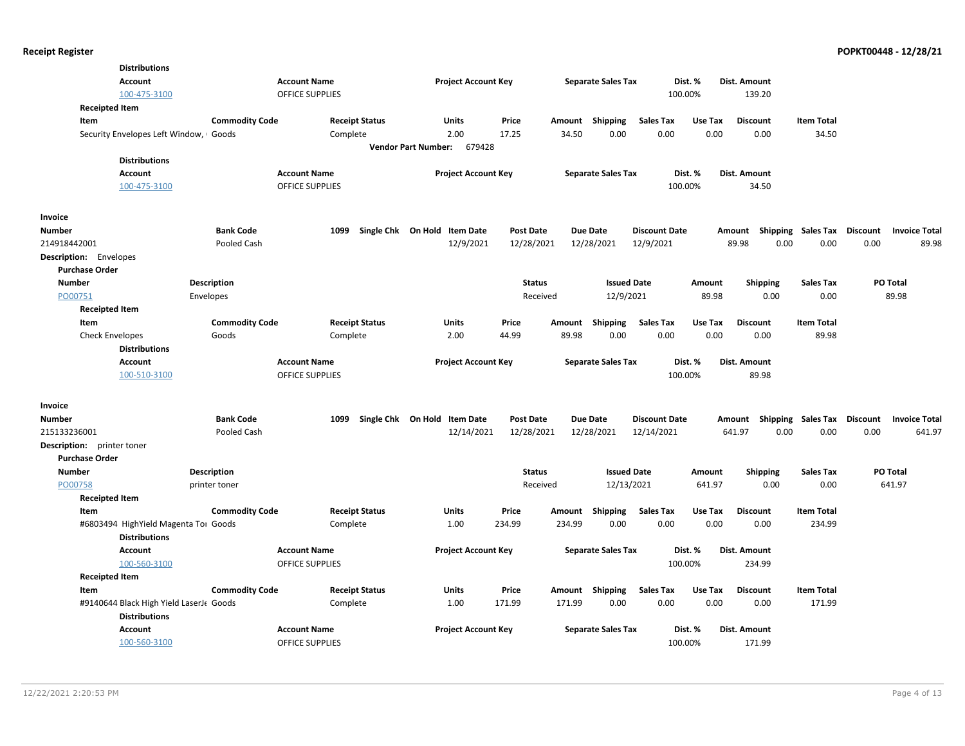| <b>Distributions</b>                   |                       |                        |                                      |                  |                 |                           |                      |         |                 |                             |                 |                      |
|----------------------------------------|-----------------------|------------------------|--------------------------------------|------------------|-----------------|---------------------------|----------------------|---------|-----------------|-----------------------------|-----------------|----------------------|
| <b>Account</b>                         |                       | <b>Account Name</b>    | <b>Project Account Key</b>           |                  |                 | <b>Separate Sales Tax</b> |                      | Dist. % | Dist. Amount    |                             |                 |                      |
| 100-475-3100                           |                       | <b>OFFICE SUPPLIES</b> |                                      |                  |                 |                           | 100.00%              |         | 139.20          |                             |                 |                      |
| <b>Receipted Item</b>                  |                       |                        |                                      |                  |                 |                           |                      |         |                 |                             |                 |                      |
| Item                                   | <b>Commodity Code</b> | <b>Receipt Status</b>  | Units                                | Price            | Amount          | Shipping                  | <b>Sales Tax</b>     | Use Tax | <b>Discount</b> | <b>Item Total</b>           |                 |                      |
| Security Envelopes Left Window, Goods  |                       | Complete               | 2.00                                 | 17.25            | 34.50           | 0.00                      | 0.00                 | 0.00    | 0.00            | 34.50                       |                 |                      |
|                                        |                       |                        | <b>Vendor Part Number:</b><br>679428 |                  |                 |                           |                      |         |                 |                             |                 |                      |
| <b>Distributions</b>                   |                       |                        |                                      |                  |                 |                           |                      |         |                 |                             |                 |                      |
| <b>Account</b>                         |                       | <b>Account Name</b>    | <b>Project Account Key</b>           |                  |                 | <b>Separate Sales Tax</b> |                      | Dist. % | Dist. Amount    |                             |                 |                      |
| 100-475-3100                           |                       | <b>OFFICE SUPPLIES</b> |                                      |                  |                 |                           | 100.00%              |         | 34.50           |                             |                 |                      |
| Invoice                                |                       |                        |                                      |                  |                 |                           |                      |         |                 |                             |                 |                      |
| Number                                 | <b>Bank Code</b>      | 1099                   | Single Chk On Hold Item Date         | <b>Post Date</b> | <b>Due Date</b> |                           | <b>Discount Date</b> |         | Amount          | Shipping Sales Tax Discount |                 | <b>Invoice Total</b> |
| 214918442001                           | Pooled Cash           |                        | 12/9/2021                            | 12/28/2021       |                 | 12/28/2021                | 12/9/2021            |         | 89.98<br>0.00   | 0.00                        | 0.00            | 89.98                |
| <b>Description:</b> Envelopes          |                       |                        |                                      |                  |                 |                           |                      |         |                 |                             |                 |                      |
| <b>Purchase Order</b>                  |                       |                        |                                      |                  |                 |                           |                      |         |                 |                             |                 |                      |
| <b>Number</b>                          | <b>Description</b>    |                        |                                      | <b>Status</b>    |                 | <b>Issued Date</b>        |                      | Amount  | <b>Shipping</b> | <b>Sales Tax</b>            | PO Total        |                      |
| PO00751                                | Envelopes             |                        |                                      | Received         |                 | 12/9/2021                 |                      | 89.98   | 0.00            | 0.00                        |                 | 89.98                |
| <b>Receipted Item</b>                  |                       |                        |                                      |                  |                 |                           |                      |         |                 |                             |                 |                      |
| Item                                   | <b>Commodity Code</b> | <b>Receipt Status</b>  | Units                                | Price            | Amount          | Shipping                  | <b>Sales Tax</b>     | Use Tax | <b>Discount</b> | <b>Item Total</b>           |                 |                      |
| <b>Check Envelopes</b>                 | Goods                 | Complete               | 2.00                                 | 44.99            | 89.98           | 0.00                      | 0.00                 | 0.00    | 0.00            | 89.98                       |                 |                      |
| <b>Distributions</b>                   |                       |                        |                                      |                  |                 |                           |                      |         |                 |                             |                 |                      |
| <b>Account</b>                         |                       | <b>Account Name</b>    | <b>Project Account Key</b>           |                  |                 | <b>Separate Sales Tax</b> |                      | Dist. % | Dist. Amount    |                             |                 |                      |
| 100-510-3100                           |                       | <b>OFFICE SUPPLIES</b> |                                      |                  |                 |                           | 100.00%              |         | 89.98           |                             |                 |                      |
| Invoice                                |                       |                        |                                      |                  |                 |                           |                      |         |                 |                             |                 |                      |
| <b>Number</b>                          | <b>Bank Code</b>      | 1099                   | Single Chk On Hold Item Date         | <b>Post Date</b> | <b>Due Date</b> |                           | <b>Discount Date</b> |         | Amount          | <b>Shipping Sales Tax</b>   | Discount        | <b>Invoice Total</b> |
| 215133236001                           | Pooled Cash           |                        | 12/14/2021                           | 12/28/2021       |                 | 12/28/2021                | 12/14/2021           |         | 641.97<br>0.00  | 0.00                        | 0.00            | 641.97               |
| <b>Description:</b> printer toner      |                       |                        |                                      |                  |                 |                           |                      |         |                 |                             |                 |                      |
| <b>Purchase Order</b>                  |                       |                        |                                      |                  |                 |                           |                      |         |                 |                             |                 |                      |
| <b>Number</b>                          | <b>Description</b>    |                        |                                      | <b>Status</b>    |                 | <b>Issued Date</b>        |                      | Amount  | Shipping        | Sales Tax                   | <b>PO Total</b> |                      |
| PO00758                                | printer toner         |                        |                                      | Received         |                 | 12/13/2021                |                      | 641.97  | 0.00            | 0.00                        |                 | 641.97               |
| <b>Receipted Item</b>                  |                       |                        |                                      |                  |                 |                           |                      |         |                 |                             |                 |                      |
| Item                                   | <b>Commodity Code</b> | <b>Receipt Status</b>  | <b>Units</b>                         | Price            | Amount          | Shipping                  | <b>Sales Tax</b>     | Use Tax | <b>Discount</b> | <b>Item Total</b>           |                 |                      |
| #6803494 HighYield Magenta Tor Goods   |                       | Complete               | 1.00                                 | 234.99           | 234.99          | 0.00                      | 0.00                 | 0.00    | 0.00            | 234.99                      |                 |                      |
| <b>Distributions</b>                   |                       |                        |                                      |                  |                 |                           |                      |         |                 |                             |                 |                      |
| <b>Account</b>                         |                       | <b>Account Name</b>    | <b>Project Account Key</b>           |                  |                 | <b>Separate Sales Tax</b> |                      | Dist. % | Dist. Amount    |                             |                 |                      |
| 100-560-3100                           |                       | <b>OFFICE SUPPLIES</b> |                                      |                  |                 |                           | 100.00%              |         | 234.99          |                             |                 |                      |
| <b>Receipted Item</b>                  |                       |                        |                                      |                  |                 |                           |                      |         |                 |                             |                 |                      |
| Item                                   | <b>Commodity Code</b> | <b>Receipt Status</b>  | Units                                | Price            | Amount Shipping |                           | <b>Sales Tax</b>     | Use Tax | <b>Discount</b> | <b>Item Total</b>           |                 |                      |
| #9140644 Black High Yield LaserJ Goods |                       | Complete               | 1.00                                 | 171.99           | 171.99          | 0.00                      | 0.00                 | 0.00    | 0.00            | 171.99                      |                 |                      |
| <b>Distributions</b>                   |                       |                        |                                      |                  |                 |                           |                      |         |                 |                             |                 |                      |
| <b>Account</b>                         |                       | <b>Account Name</b>    | <b>Project Account Key</b>           |                  |                 | <b>Separate Sales Tax</b> |                      | Dist. % | Dist. Amount    |                             |                 |                      |
| 100-560-3100                           |                       | <b>OFFICE SUPPLIES</b> |                                      |                  |                 |                           | 100.00%              |         | 171.99          |                             |                 |                      |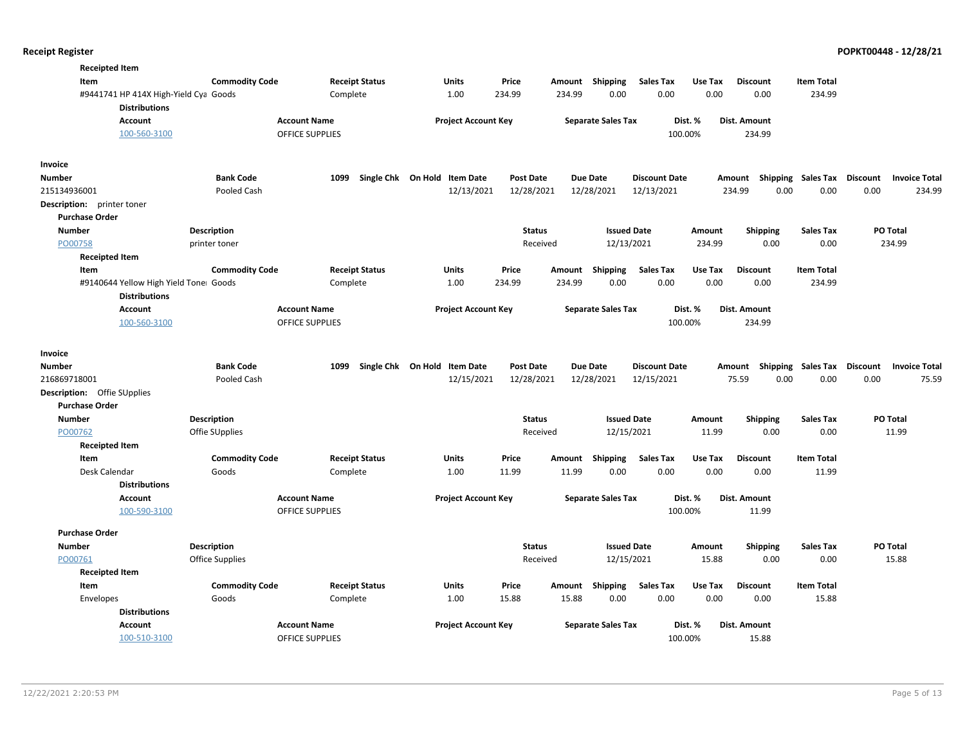| <b>Receipted Item</b>                 |                        |                        |                              |                  |          |                           |                      |         |                                    |                   |                                         |       |
|---------------------------------------|------------------------|------------------------|------------------------------|------------------|----------|---------------------------|----------------------|---------|------------------------------------|-------------------|-----------------------------------------|-------|
| Item                                  | <b>Commodity Code</b>  | <b>Receipt Status</b>  | Units                        | Price            | Amount   | Shipping                  | <b>Sales Tax</b>     | Use Tax | <b>Discount</b>                    | <b>Item Total</b> |                                         |       |
| #9441741 HP 414X High-Yield Cya Goods |                        | Complete               | 1.00                         | 234.99           | 234.99   | 0.00                      | 0.00                 | 0.00    | 0.00                               | 234.99            |                                         |       |
| <b>Distributions</b>                  |                        |                        |                              |                  |          |                           |                      |         |                                    |                   |                                         |       |
| <b>Account</b>                        | <b>Account Name</b>    |                        | <b>Project Account Key</b>   |                  |          | <b>Separate Sales Tax</b> |                      | Dist. % | Dist. Amount                       |                   |                                         |       |
| 100-560-3100                          |                        | <b>OFFICE SUPPLIES</b> |                              |                  |          |                           |                      | 100.00% | 234.99                             |                   |                                         |       |
| Invoice                               |                        |                        |                              |                  |          |                           |                      |         |                                    |                   |                                         |       |
| Number                                | <b>Bank Code</b>       | 1099                   | Single Chk On Hold Item Date | <b>Post Date</b> |          | <b>Due Date</b>           | <b>Discount Date</b> |         | Amount Shipping                    | Sales Tax         | <b>Discount</b><br><b>Invoice Total</b> |       |
| 215134936001                          | Pooled Cash            |                        | 12/13/2021                   | 12/28/2021       |          | 12/28/2021                | 12/13/2021           |         | 234.99<br>0.00                     | 0.00              | 0.00<br>234.99                          |       |
| Description: printer toner            |                        |                        |                              |                  |          |                           |                      |         |                                    |                   |                                         |       |
| <b>Purchase Order</b>                 |                        |                        |                              |                  |          |                           |                      |         |                                    |                   |                                         |       |
| <b>Number</b>                         | Description            |                        |                              | <b>Status</b>    |          | <b>Issued Date</b>        |                      | Amount  | <b>Shipping</b>                    | <b>Sales Tax</b>  | PO Total                                |       |
| PO00758                               | printer toner          |                        |                              |                  | Received | 12/13/2021                |                      | 234.99  | 0.00                               | 0.00              | 234.99                                  |       |
| <b>Receipted Item</b>                 |                        |                        |                              |                  |          |                           |                      |         |                                    |                   |                                         |       |
| Item                                  | <b>Commodity Code</b>  | <b>Receipt Status</b>  | Units                        | Price            | Amount   | <b>Shipping</b>           | <b>Sales Tax</b>     | Use Tax | <b>Discount</b>                    | <b>Item Total</b> |                                         |       |
| #9140644 Yellow High Yield Tone Goods |                        | Complete               | 1.00                         | 234.99           | 234.99   | 0.00                      | 0.00                 | 0.00    | 0.00                               | 234.99            |                                         |       |
| <b>Distributions</b>                  |                        |                        |                              |                  |          |                           |                      |         |                                    |                   |                                         |       |
| <b>Account</b>                        | <b>Account Name</b>    |                        | <b>Project Account Key</b>   |                  |          | <b>Separate Sales Tax</b> |                      | Dist. % | Dist. Amount                       |                   |                                         |       |
| 100-560-3100                          |                        | OFFICE SUPPLIES        |                              |                  |          |                           |                      | 100.00% | 234.99                             |                   |                                         |       |
| Invoice                               |                        |                        |                              |                  |          |                           |                      |         |                                    |                   |                                         |       |
| Number                                | <b>Bank Code</b>       | 1099                   | Single Chk On Hold Item Date | <b>Post Date</b> |          | <b>Due Date</b>           | <b>Discount Date</b> |         | Amount Shipping Sales Tax Discount |                   | <b>Invoice Total</b>                    |       |
| 216869718001                          | Pooled Cash            |                        | 12/15/2021                   | 12/28/2021       |          | 12/28/2021                | 12/15/2021           |         | 75.59<br>0.00                      | 0.00              | 0.00                                    | 75.59 |
| <b>Description:</b> Offie SUpplies    |                        |                        |                              |                  |          |                           |                      |         |                                    |                   |                                         |       |
| <b>Purchase Order</b>                 |                        |                        |                              |                  |          |                           |                      |         |                                    |                   |                                         |       |
| <b>Number</b>                         | Description            |                        |                              | <b>Status</b>    |          | <b>Issued Date</b>        |                      | Amount  | <b>Shipping</b>                    | <b>Sales Tax</b>  | PO Total                                |       |
| PO00762                               | Offie SUpplies         |                        |                              |                  | Received | 12/15/2021                |                      | 11.99   | 0.00                               | 0.00              | 11.99                                   |       |
| <b>Receipted Item</b>                 |                        |                        |                              |                  |          |                           |                      |         |                                    |                   |                                         |       |
| Item                                  | <b>Commodity Code</b>  | <b>Receipt Status</b>  | Units                        | Price            | Amount   | <b>Shipping</b>           | <b>Sales Tax</b>     | Use Tax | <b>Discount</b>                    | <b>Item Total</b> |                                         |       |
| Desk Calendar                         | Goods                  | Complete               | 1.00                         | 11.99            | 11.99    | 0.00                      | 0.00                 | 0.00    | 0.00                               | 11.99             |                                         |       |
| <b>Distributions</b>                  |                        |                        |                              |                  |          |                           |                      |         |                                    |                   |                                         |       |
| Account                               | <b>Account Name</b>    |                        | <b>Project Account Key</b>   |                  |          | <b>Separate Sales Tax</b> |                      | Dist. % | Dist. Amount                       |                   |                                         |       |
| 100-590-3100                          |                        | <b>OFFICE SUPPLIES</b> |                              |                  |          |                           |                      | 100.00% | 11.99                              |                   |                                         |       |
| <b>Purchase Order</b>                 |                        |                        |                              |                  |          |                           |                      |         |                                    |                   |                                         |       |
| Number                                | Description            |                        |                              | <b>Status</b>    |          | <b>Issued Date</b>        |                      | Amount  | <b>Shipping</b>                    | <b>Sales Tax</b>  | PO Total                                |       |
| PO00761                               | <b>Office Supplies</b> |                        |                              |                  | Received | 12/15/2021                |                      | 15.88   | 0.00                               | 0.00              | 15.88                                   |       |
| <b>Receipted Item</b>                 |                        |                        |                              |                  |          |                           |                      |         |                                    |                   |                                         |       |
| Item                                  | <b>Commodity Code</b>  | <b>Receipt Status</b>  | <b>Units</b>                 | Price            | Amount   | Shipping                  | <b>Sales Tax</b>     | Use Tax | <b>Discount</b>                    | <b>Item Total</b> |                                         |       |
| Envelopes                             | Goods                  | Complete               | 1.00                         | 15.88            | 15.88    | 0.00                      | 0.00                 | 0.00    | 0.00                               | 15.88             |                                         |       |
| <b>Distributions</b>                  |                        |                        |                              |                  |          |                           |                      |         |                                    |                   |                                         |       |
| Account                               | <b>Account Name</b>    |                        | <b>Project Account Key</b>   |                  |          | <b>Separate Sales Tax</b> |                      | Dist. % | Dist. Amount                       |                   |                                         |       |
| 100-510-3100                          |                        | <b>OFFICE SUPPLIES</b> |                              |                  |          |                           |                      | 100.00% | 15.88                              |                   |                                         |       |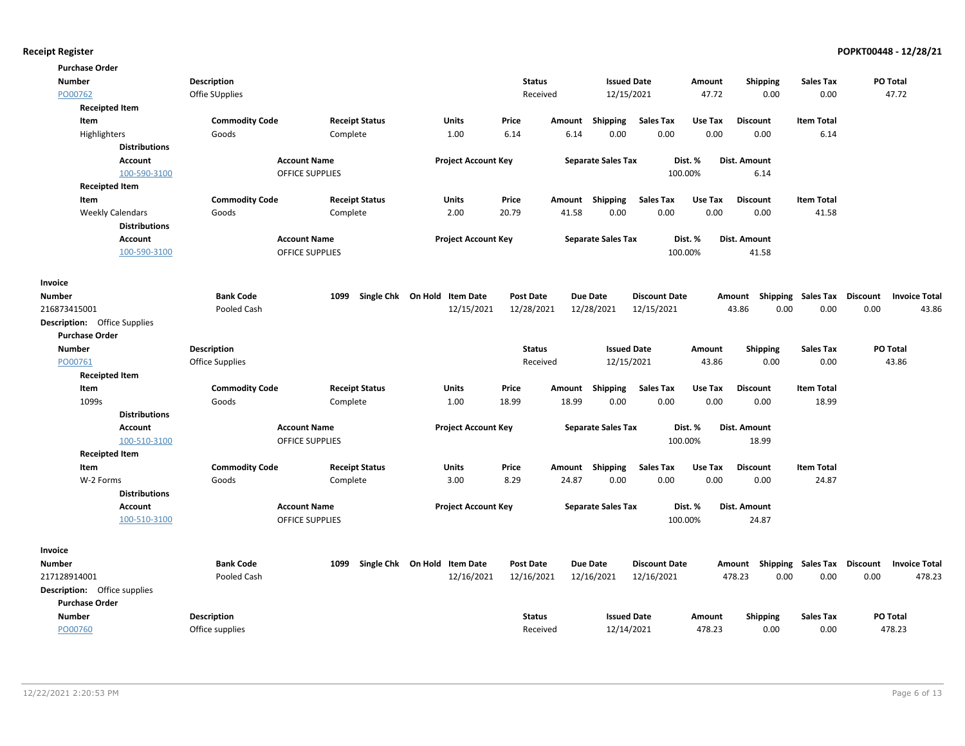| <b>Purchase Order</b>               |                        |                        |                              |                  |        |                           |                      |         |                           |                   |                 |                      |
|-------------------------------------|------------------------|------------------------|------------------------------|------------------|--------|---------------------------|----------------------|---------|---------------------------|-------------------|-----------------|----------------------|
| <b>Number</b>                       | <b>Description</b>     |                        |                              | <b>Status</b>    |        | <b>Issued Date</b>        |                      | Amount  | <b>Shipping</b>           | <b>Sales Tax</b>  |                 | PO Total             |
| PO00762                             | Offie SUpplies         |                        |                              | Received         |        | 12/15/2021                |                      | 47.72   | 0.00                      | 0.00              |                 | 47.72                |
| <b>Receipted Item</b>               |                        |                        |                              |                  |        |                           |                      |         |                           |                   |                 |                      |
| Item                                | <b>Commodity Code</b>  | <b>Receipt Status</b>  | <b>Units</b>                 | Price            | Amount | <b>Shipping</b>           | <b>Sales Tax</b>     | Use Tax | <b>Discount</b>           | <b>Item Total</b> |                 |                      |
| Highlighters                        | Goods                  | Complete               | 1.00                         | 6.14             | 6.14   | 0.00                      | 0.00                 | 0.00    | 0.00                      | 6.14              |                 |                      |
| <b>Distributions</b>                |                        |                        |                              |                  |        |                           |                      |         |                           |                   |                 |                      |
| Account                             |                        | <b>Account Name</b>    | <b>Project Account Key</b>   |                  |        | <b>Separate Sales Tax</b> |                      | Dist. % | Dist. Amount              |                   |                 |                      |
| 100-590-3100                        |                        | <b>OFFICE SUPPLIES</b> |                              |                  |        |                           | 100.00%              |         | 6.14                      |                   |                 |                      |
| <b>Receipted Item</b>               |                        |                        |                              |                  |        |                           |                      |         |                           |                   |                 |                      |
| Item                                | <b>Commodity Code</b>  | <b>Receipt Status</b>  | Units                        | Price            | Amount | Shipping                  | <b>Sales Tax</b>     | Use Tax | <b>Discount</b>           | <b>Item Total</b> |                 |                      |
| <b>Weekly Calendars</b>             | Goods                  | Complete               | 2.00                         | 20.79            | 41.58  | 0.00                      | 0.00                 | 0.00    | 0.00                      | 41.58             |                 |                      |
| <b>Distributions</b>                |                        |                        |                              |                  |        |                           |                      |         |                           |                   |                 |                      |
| Account                             |                        | <b>Account Name</b>    | <b>Project Account Key</b>   |                  |        | <b>Separate Sales Tax</b> |                      | Dist. % | Dist. Amount              |                   |                 |                      |
| 100-590-3100                        |                        | <b>OFFICE SUPPLIES</b> |                              |                  |        |                           | 100.00%              |         | 41.58                     |                   |                 |                      |
|                                     |                        |                        |                              |                  |        |                           |                      |         |                           |                   |                 |                      |
| Invoice                             |                        |                        |                              |                  |        |                           |                      |         |                           |                   |                 |                      |
| <b>Number</b>                       | <b>Bank Code</b>       | 1099                   | Single Chk On Hold Item Date | <b>Post Date</b> |        | <b>Due Date</b>           | <b>Discount Date</b> |         | Amount Shipping Sales Tax |                   | Discount        | <b>Invoice Total</b> |
| 216873415001                        | Pooled Cash            |                        | 12/15/2021                   | 12/28/2021       |        | 12/28/2021                | 12/15/2021           |         | 0.00<br>43.86             | 0.00              | 0.00            | 43.86                |
| <b>Description:</b> Office Supplies |                        |                        |                              |                  |        |                           |                      |         |                           |                   |                 |                      |
| <b>Purchase Order</b>               |                        |                        |                              |                  |        |                           |                      |         |                           |                   |                 |                      |
| <b>Number</b>                       | Description            |                        |                              | <b>Status</b>    |        | <b>Issued Date</b>        |                      | Amount  | <b>Shipping</b>           | <b>Sales Tax</b>  |                 | PO Total             |
| PO00761                             | <b>Office Supplies</b> |                        |                              | Received         |        | 12/15/2021                |                      | 43.86   | 0.00                      | 0.00              |                 | 43.86                |
| <b>Receipted Item</b>               |                        |                        |                              |                  |        |                           |                      |         |                           |                   |                 |                      |
| Item                                | <b>Commodity Code</b>  | <b>Receipt Status</b>  | <b>Units</b>                 | Price            | Amount | <b>Shipping</b>           | <b>Sales Tax</b>     | Use Tax | <b>Discount</b>           | <b>Item Total</b> |                 |                      |
| 1099s                               | Goods                  | Complete               | 1.00                         | 18.99            | 18.99  | 0.00                      | 0.00                 | 0.00    | 0.00                      | 18.99             |                 |                      |
| <b>Distributions</b>                |                        |                        |                              |                  |        |                           |                      |         |                           |                   |                 |                      |
| Account                             |                        | <b>Account Name</b>    | <b>Project Account Key</b>   |                  |        | <b>Separate Sales Tax</b> |                      | Dist. % | Dist. Amount              |                   |                 |                      |
| 100-510-3100                        |                        | <b>OFFICE SUPPLIES</b> |                              |                  |        |                           | 100.00%              |         | 18.99                     |                   |                 |                      |
| <b>Receipted Item</b>               |                        |                        |                              |                  |        |                           |                      |         |                           |                   |                 |                      |
| Item                                | <b>Commodity Code</b>  | <b>Receipt Status</b>  | <b>Units</b>                 | Price            | Amount | <b>Shipping</b>           | <b>Sales Tax</b>     | Use Tax | <b>Discount</b>           | <b>Item Total</b> |                 |                      |
| W-2 Forms                           | Goods                  | Complete               | 3.00                         | 8.29             | 24.87  | 0.00                      | 0.00                 | 0.00    | 0.00                      | 24.87             |                 |                      |
| <b>Distributions</b>                |                        |                        |                              |                  |        |                           |                      |         |                           |                   |                 |                      |
| Account                             |                        | <b>Account Name</b>    | <b>Project Account Key</b>   |                  |        | <b>Separate Sales Tax</b> |                      | Dist. % | Dist. Amount              |                   |                 |                      |
| 100-510-3100                        |                        | <b>OFFICE SUPPLIES</b> |                              |                  |        |                           | 100.00%              |         | 24.87                     |                   |                 |                      |
|                                     |                        |                        |                              |                  |        |                           |                      |         |                           |                   |                 |                      |
| Invoice                             |                        |                        |                              |                  |        |                           |                      |         |                           |                   |                 |                      |
| <b>Number</b>                       | <b>Bank Code</b>       | 1099                   | Single Chk On Hold Item Date | <b>Post Date</b> |        | <b>Due Date</b>           | <b>Discount Date</b> |         | Amount Shipping           | Sales Tax         | <b>Discount</b> | <b>Invoice Total</b> |
| 217128914001                        | Pooled Cash            |                        | 12/16/2021                   | 12/16/2021       |        | 12/16/2021                | 12/16/2021           |         | 478.23<br>0.00            | 0.00              | 0.00            | 478.23               |
| <b>Description:</b> Office supplies |                        |                        |                              |                  |        |                           |                      |         |                           |                   |                 |                      |
| <b>Purchase Order</b>               |                        |                        |                              |                  |        |                           |                      |         |                           |                   |                 |                      |
| Number                              | <b>Description</b>     |                        |                              | <b>Status</b>    |        | <b>Issued Date</b>        |                      | Amount  | <b>Shipping</b>           | <b>Sales Tax</b>  |                 | PO Total             |
| PO00760                             | Office supplies        |                        |                              | Received         |        | 12/14/2021                |                      | 478.23  | 0.00                      | 0.00              |                 | 478.23               |
|                                     |                        |                        |                              |                  |        |                           |                      |         |                           |                   |                 |                      |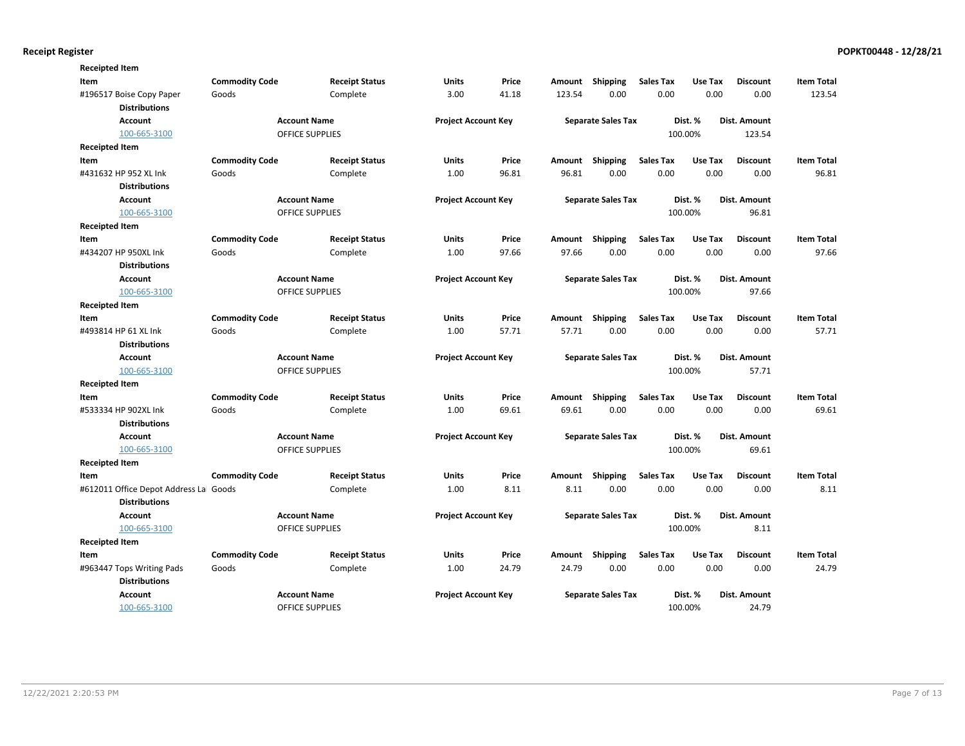| <b>Receipted Item</b>                                          |                       |                        |                       |                            |       |        |                           |                  |         |                 |                   |
|----------------------------------------------------------------|-----------------------|------------------------|-----------------------|----------------------------|-------|--------|---------------------------|------------------|---------|-----------------|-------------------|
| Item                                                           | <b>Commodity Code</b> |                        | <b>Receipt Status</b> | Units                      | Price | Amount | Shipping                  | <b>Sales Tax</b> | Use Tax | <b>Discount</b> | <b>Item Total</b> |
| #196517 Boise Copy Paper<br><b>Distributions</b>               | Goods                 |                        | Complete              | 3.00                       | 41.18 | 123.54 | 0.00                      | 0.00             | 0.00    | 0.00            | 123.54            |
| <b>Account</b>                                                 |                       | <b>Account Name</b>    |                       | <b>Project Account Key</b> |       |        | <b>Separate Sales Tax</b> |                  | Dist. % | Dist. Amount    |                   |
| 100-665-3100                                                   |                       | OFFICE SUPPLIES        |                       |                            |       |        |                           |                  | 100.00% | 123.54          |                   |
| <b>Receipted Item</b>                                          |                       |                        |                       |                            |       |        |                           |                  |         |                 |                   |
| Item                                                           | <b>Commodity Code</b> |                        | <b>Receipt Status</b> | <b>Units</b>               | Price | Amount | Shipping                  | <b>Sales Tax</b> | Use Tax | <b>Discount</b> | <b>Item Total</b> |
| #431632 HP 952 XL Ink                                          | Goods                 |                        | Complete              | 1.00                       | 96.81 | 96.81  | 0.00                      | 0.00             | 0.00    | 0.00            | 96.81             |
| <b>Distributions</b>                                           |                       |                        |                       |                            |       |        |                           |                  |         |                 |                   |
| <b>Account</b>                                                 |                       | <b>Account Name</b>    |                       | <b>Project Account Key</b> |       |        | <b>Separate Sales Tax</b> |                  | Dist. % | Dist. Amount    |                   |
| 100-665-3100                                                   |                       | <b>OFFICE SUPPLIES</b> |                       |                            |       |        |                           |                  | 100.00% | 96.81           |                   |
| <b>Receipted Item</b>                                          |                       |                        |                       |                            |       |        |                           |                  |         |                 |                   |
| Item                                                           | <b>Commodity Code</b> |                        | <b>Receipt Status</b> | Units                      | Price | Amount | <b>Shipping</b>           | <b>Sales Tax</b> | Use Tax | <b>Discount</b> | <b>Item Total</b> |
| #434207 HP 950XL Ink                                           | Goods                 |                        | Complete              | 1.00                       | 97.66 | 97.66  | 0.00                      | 0.00             | 0.00    | 0.00            | 97.66             |
| <b>Distributions</b>                                           |                       |                        |                       |                            |       |        |                           |                  |         |                 |                   |
| <b>Account</b>                                                 |                       | <b>Account Name</b>    |                       | <b>Project Account Key</b> |       |        | <b>Separate Sales Tax</b> |                  | Dist. % | Dist. Amount    |                   |
| 100-665-3100                                                   |                       | <b>OFFICE SUPPLIES</b> |                       |                            |       |        |                           |                  | 100.00% | 97.66           |                   |
| <b>Receipted Item</b>                                          |                       |                        |                       |                            |       |        |                           |                  |         |                 |                   |
| Item                                                           | <b>Commodity Code</b> |                        | <b>Receipt Status</b> | <b>Units</b>               | Price | Amount | Shipping                  | <b>Sales Tax</b> | Use Tax | <b>Discount</b> | <b>Item Total</b> |
| #493814 HP 61 XL Ink                                           | Goods                 |                        | Complete              | 1.00                       | 57.71 | 57.71  | 0.00                      | 0.00             | 0.00    | 0.00            | 57.71             |
| <b>Distributions</b>                                           |                       |                        |                       |                            |       |        |                           |                  |         |                 |                   |
| <b>Account</b>                                                 |                       | <b>Account Name</b>    |                       | <b>Project Account Key</b> |       |        | <b>Separate Sales Tax</b> |                  | Dist. % | Dist. Amount    |                   |
| 100-665-3100                                                   |                       | <b>OFFICE SUPPLIES</b> |                       |                            |       |        |                           |                  | 100.00% | 57.71           |                   |
| <b>Receipted Item</b>                                          |                       |                        |                       |                            |       |        |                           |                  |         |                 |                   |
| Item                                                           | <b>Commodity Code</b> |                        | <b>Receipt Status</b> | <b>Units</b>               | Price | Amount | Shipping                  | <b>Sales Tax</b> | Use Tax | <b>Discount</b> | <b>Item Total</b> |
| #533334 HP 902XL Ink                                           | Goods                 |                        | Complete              | 1.00                       | 69.61 | 69.61  | 0.00                      | 0.00             | 0.00    | 0.00            | 69.61             |
| <b>Distributions</b>                                           |                       |                        |                       |                            |       |        |                           |                  |         |                 |                   |
| <b>Account</b>                                                 |                       | <b>Account Name</b>    |                       | <b>Project Account Key</b> |       |        | <b>Separate Sales Tax</b> |                  | Dist. % | Dist. Amount    |                   |
| 100-665-3100                                                   |                       | <b>OFFICE SUPPLIES</b> |                       |                            |       |        |                           |                  | 100.00% | 69.61           |                   |
| <b>Receipted Item</b>                                          |                       |                        |                       |                            |       |        |                           |                  |         |                 |                   |
| Item                                                           | <b>Commodity Code</b> |                        | <b>Receipt Status</b> | <b>Units</b>               | Price | Amount | Shipping                  | <b>Sales Tax</b> | Use Tax | <b>Discount</b> | <b>Item Total</b> |
| #612011 Office Depot Address Lal Goods<br><b>Distributions</b> |                       |                        | Complete              | 1.00                       | 8.11  | 8.11   | 0.00                      | 0.00             | 0.00    | 0.00            | 8.11              |
| <b>Account</b>                                                 |                       | <b>Account Name</b>    |                       | <b>Project Account Key</b> |       |        | <b>Separate Sales Tax</b> |                  | Dist. % | Dist. Amount    |                   |
| 100-665-3100                                                   |                       | OFFICE SUPPLIES        |                       |                            |       |        |                           |                  | 100.00% | 8.11            |                   |
| <b>Receipted Item</b>                                          |                       |                        |                       |                            |       |        |                           |                  |         |                 |                   |
| Item                                                           | <b>Commodity Code</b> |                        | <b>Receipt Status</b> | <b>Units</b>               | Price | Amount | Shipping                  | <b>Sales Tax</b> | Use Tax | <b>Discount</b> | <b>Item Total</b> |
| #963447 Tops Writing Pads                                      | Goods                 |                        | Complete              | 1.00                       | 24.79 | 24.79  | 0.00                      | 0.00             | 0.00    | 0.00            | 24.79             |
| <b>Distributions</b>                                           |                       |                        |                       |                            |       |        |                           |                  |         |                 |                   |
| <b>Account</b>                                                 |                       | <b>Account Name</b>    |                       | <b>Project Account Key</b> |       |        | <b>Separate Sales Tax</b> |                  | Dist. % | Dist. Amount    |                   |
| 100-665-3100                                                   |                       | <b>OFFICE SUPPLIES</b> |                       |                            |       |        |                           |                  | 100.00% | 24.79           |                   |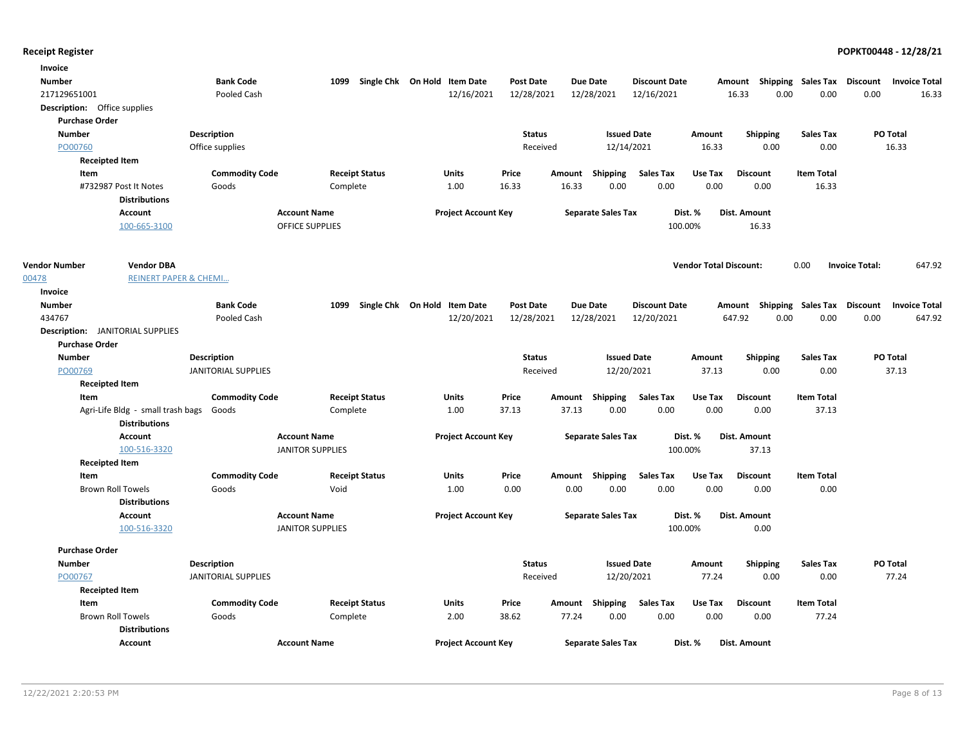| Invoice                                                          |                            |                         |                              |                  |                           |                      |                               |                     |                                    |                                 |
|------------------------------------------------------------------|----------------------------|-------------------------|------------------------------|------------------|---------------------------|----------------------|-------------------------------|---------------------|------------------------------------|---------------------------------|
| <b>Number</b>                                                    | <b>Bank Code</b>           | 1099                    | Single Chk On Hold Item Date | <b>Post Date</b> | <b>Due Date</b>           | <b>Discount Date</b> | Amount                        |                     | Shipping Sales Tax Discount        | <b>Invoice Total</b>            |
| 217129651001                                                     | Pooled Cash                |                         | 12/16/2021                   | 12/28/2021       | 12/28/2021                | 12/16/2021           | 16.33                         | 0.00                | 0.00                               | 0.00<br>16.33                   |
| <b>Description:</b> Office supplies                              |                            |                         |                              |                  |                           |                      |                               |                     |                                    |                                 |
| <b>Purchase Order</b>                                            |                            |                         |                              |                  |                           |                      |                               |                     |                                    |                                 |
| <b>Number</b>                                                    | <b>Description</b>         |                         |                              | <b>Status</b>    |                           | <b>Issued Date</b>   | Amount                        | <b>Shipping</b>     | <b>Sales Tax</b>                   | PO Total                        |
| PO00760                                                          | Office supplies            |                         |                              | Received         |                           | 12/14/2021           | 16.33                         | 0.00                | 0.00                               | 16.33                           |
| <b>Receipted Item</b>                                            |                            |                         |                              |                  |                           |                      |                               |                     |                                    |                                 |
| Item                                                             | <b>Commodity Code</b>      | <b>Receipt Status</b>   | Units                        | Price            | Amount<br><b>Shipping</b> | <b>Sales Tax</b>     | Use Tax                       | <b>Discount</b>     | <b>Item Total</b>                  |                                 |
| #732987 Post It Notes<br><b>Distributions</b>                    | Goods                      | Complete                | 1.00                         | 16.33            | 16.33                     | 0.00<br>0.00         | 0.00                          | 0.00                | 16.33                              |                                 |
| <b>Account</b>                                                   |                            | <b>Account Name</b>     | <b>Project Account Key</b>   |                  | <b>Separate Sales Tax</b> |                      | Dist. %                       | Dist. Amount        |                                    |                                 |
| 100-665-3100                                                     |                            | <b>OFFICE SUPPLIES</b>  |                              |                  |                           |                      | 100.00%                       | 16.33               |                                    |                                 |
|                                                                  |                            |                         |                              |                  |                           |                      |                               |                     |                                    |                                 |
| <b>Vendor Number</b><br><b>Vendor DBA</b>                        |                            |                         |                              |                  |                           |                      | <b>Vendor Total Discount:</b> |                     | 0.00                               | <b>Invoice Total:</b><br>647.92 |
| 00478<br><b>REINERT PAPER &amp; CHEMI</b>                        |                            |                         |                              |                  |                           |                      |                               |                     |                                    |                                 |
| Invoice                                                          |                            |                         |                              |                  |                           |                      |                               |                     |                                    |                                 |
| <b>Number</b>                                                    | <b>Bank Code</b>           | 1099                    | Single Chk On Hold Item Date | Post Date        | Due Date                  | <b>Discount Date</b> |                               |                     | Amount Shipping Sales Tax Discount | <b>Invoice Total</b>            |
| 434767                                                           | Pooled Cash                |                         | 12/20/2021                   | 12/28/2021       | 12/28/2021                | 12/20/2021           | 647.92                        | 0.00                | 0.00                               | 0.00<br>647.92                  |
| <b>Description:</b> JANITORIAL SUPPLIES<br><b>Purchase Order</b> |                            |                         |                              |                  |                           |                      |                               |                     |                                    |                                 |
| <b>Number</b>                                                    | <b>Description</b>         |                         |                              | <b>Status</b>    |                           | <b>Issued Date</b>   | Amount                        | <b>Shipping</b>     | <b>Sales Tax</b>                   | PO Total                        |
| PO00769                                                          | JANITORIAL SUPPLIES        |                         |                              | Received         |                           | 12/20/2021           | 37.13                         | 0.00                | 0.00                               | 37.13                           |
| <b>Receipted Item</b>                                            |                            |                         |                              |                  |                           |                      |                               |                     |                                    |                                 |
| Item                                                             | <b>Commodity Code</b>      | <b>Receipt Status</b>   | Units                        | Price            | Shipping<br>Amount        | Sales Tax            | Use Tax                       | <b>Discount</b>     | <b>Item Total</b>                  |                                 |
| Agri-Life Bldg - small trash bags                                | Goods                      | Complete                | 1.00                         | 37.13            | 37.13                     | 0.00<br>0.00         | 0.00                          | 0.00                | 37.13                              |                                 |
| <b>Distributions</b>                                             |                            |                         |                              |                  |                           |                      |                               |                     |                                    |                                 |
| <b>Account</b>                                                   |                            | <b>Account Name</b>     | <b>Project Account Key</b>   |                  | <b>Separate Sales Tax</b> |                      | Dist. %                       | <b>Dist. Amount</b> |                                    |                                 |
| 100-516-3320                                                     |                            | <b>JANITOR SUPPLIES</b> |                              |                  |                           |                      | 100.00%                       | 37.13               |                                    |                                 |
| <b>Receipted Item</b>                                            |                            |                         |                              |                  |                           |                      |                               |                     |                                    |                                 |
| Item                                                             | <b>Commodity Code</b>      | <b>Receipt Status</b>   | Units                        | Price            | Amount Shipping           | <b>Sales Tax</b>     | Use Tax                       | <b>Discount</b>     | <b>Item Total</b>                  |                                 |
| <b>Brown Roll Towels</b>                                         | Goods                      | Void                    | 1.00                         | 0.00             | 0.00                      | 0.00<br>0.00         | 0.00                          | 0.00                | 0.00                               |                                 |
| <b>Distributions</b>                                             |                            |                         |                              |                  |                           |                      |                               |                     |                                    |                                 |
| <b>Account</b>                                                   |                            | <b>Account Name</b>     | <b>Project Account Key</b>   |                  | <b>Separate Sales Tax</b> |                      | Dist. %                       | <b>Dist. Amount</b> |                                    |                                 |
| 100-516-3320                                                     |                            | <b>JANITOR SUPPLIES</b> |                              |                  |                           |                      | 100.00%                       | 0.00                |                                    |                                 |
| <b>Purchase Order</b>                                            |                            |                         |                              |                  |                           |                      |                               |                     |                                    |                                 |
| <b>Number</b>                                                    | Description                |                         |                              | <b>Status</b>    |                           | <b>Issued Date</b>   | Amount                        | <b>Shipping</b>     | <b>Sales Tax</b>                   | PO Total                        |
| PO00767                                                          | <b>JANITORIAL SUPPLIES</b> |                         |                              | Received         |                           | 12/20/2021           | 77.24                         | 0.00                | 0.00                               | 77.24                           |
| <b>Receipted Item</b>                                            |                            |                         |                              |                  |                           |                      |                               |                     |                                    |                                 |
| Item                                                             | <b>Commodity Code</b>      | <b>Receipt Status</b>   | Units                        | Price            | Amount<br>Shipping        | Sales Tax            | Use Tax                       | <b>Discount</b>     | <b>Item Total</b>                  |                                 |
| <b>Brown Roll Towels</b>                                         | Goods                      | Complete                | 2.00                         | 38.62            | 77.24                     | 0.00<br>0.00         | 0.00                          | 0.00                | 77.24                              |                                 |
| <b>Distributions</b>                                             |                            |                         |                              |                  |                           |                      |                               |                     |                                    |                                 |
| <b>Account</b>                                                   |                            | <b>Account Name</b>     | <b>Project Account Key</b>   |                  | <b>Separate Sales Tax</b> |                      | Dist. %                       | Dist. Amount        |                                    |                                 |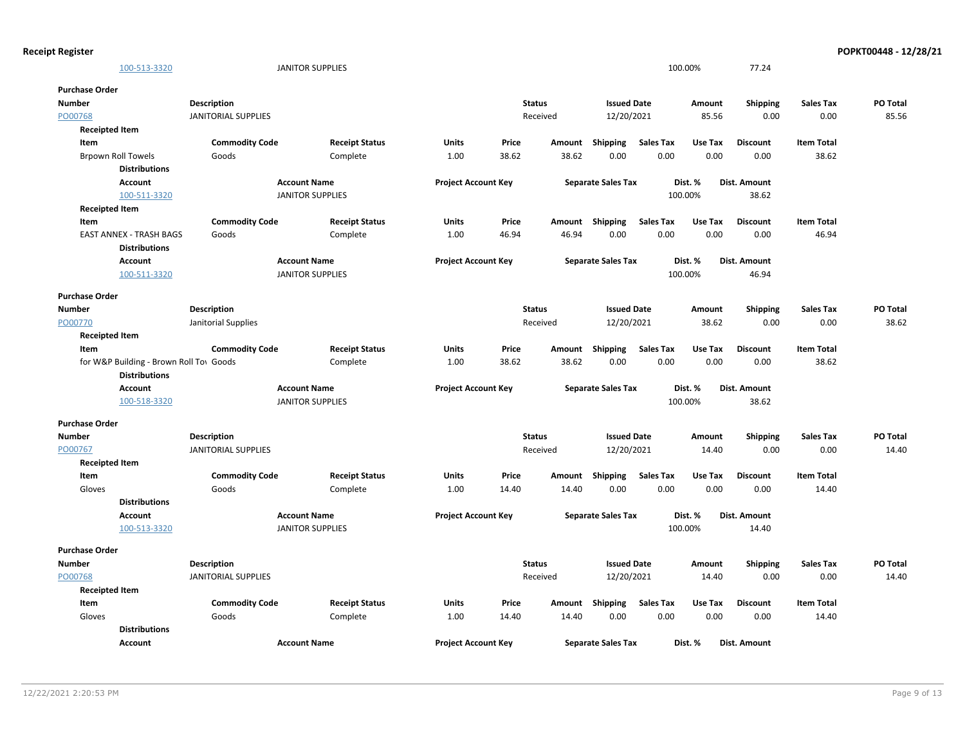| <b>Receipt Register</b>   |                                         |                            |                         |                            |       |               |                           |                  |         |                 |                   | POPKT00448 - 12/28/21 |
|---------------------------|-----------------------------------------|----------------------------|-------------------------|----------------------------|-------|---------------|---------------------------|------------------|---------|-----------------|-------------------|-----------------------|
|                           | 100-513-3320                            |                            | <b>JANITOR SUPPLIES</b> |                            |       |               |                           |                  | 100.00% | 77.24           |                   |                       |
| <b>Purchase Order</b>     |                                         |                            |                         |                            |       |               |                           |                  |         |                 |                   |                       |
| <b>Number</b>             |                                         | <b>Description</b>         |                         |                            |       | <b>Status</b> | <b>Issued Date</b>        |                  | Amount  | <b>Shipping</b> | <b>Sales Tax</b>  | PO Total              |
| PO00768                   |                                         | <b>JANITORIAL SUPPLIES</b> |                         |                            |       | Received      | 12/20/2021                |                  | 85.56   | 0.00            | 0.00              | 85.56                 |
| <b>Receipted Item</b>     |                                         |                            |                         |                            |       |               |                           |                  |         |                 |                   |                       |
| Item                      |                                         | <b>Commodity Code</b>      | <b>Receipt Status</b>   | Units                      | Price | Amount        | Shipping                  | <b>Sales Tax</b> | Use Tax | <b>Discount</b> | <b>Item Total</b> |                       |
| <b>Brpown Roll Towels</b> |                                         | Goods                      | Complete                | 1.00                       | 38.62 | 38.62         | 0.00                      | 0.00             | 0.00    | 0.00            | 38.62             |                       |
|                           | <b>Distributions</b>                    |                            |                         |                            |       |               |                           |                  |         |                 |                   |                       |
|                           | Account                                 |                            | <b>Account Name</b>     | <b>Project Account Key</b> |       |               | <b>Separate Sales Tax</b> |                  | Dist. % | Dist. Amount    |                   |                       |
|                           | 100-511-3320                            |                            | <b>JANITOR SUPPLIES</b> |                            |       |               |                           |                  | 100.00% | 38.62           |                   |                       |
| <b>Receipted Item</b>     |                                         |                            |                         |                            |       |               |                           |                  |         |                 |                   |                       |
| Item                      |                                         | <b>Commodity Code</b>      | <b>Receipt Status</b>   | Units                      | Price |               | Amount Shipping           | <b>Sales Tax</b> | Use Tax | <b>Discount</b> | <b>Item Total</b> |                       |
|                           | <b>EAST ANNEX - TRASH BAGS</b>          | Goods                      | Complete                | 1.00                       | 46.94 | 46.94         | 0.00                      | 0.00             | 0.00    | 0.00            | 46.94             |                       |
|                           | <b>Distributions</b>                    |                            |                         |                            |       |               |                           |                  |         |                 |                   |                       |
|                           | <b>Account</b>                          |                            | <b>Account Name</b>     | <b>Project Account Key</b> |       |               | <b>Separate Sales Tax</b> |                  | Dist. % | Dist. Amount    |                   |                       |
|                           | 100-511-3320                            |                            | <b>JANITOR SUPPLIES</b> |                            |       |               |                           |                  | 100.00% | 46.94           |                   |                       |
| <b>Purchase Order</b>     |                                         |                            |                         |                            |       |               |                           |                  |         |                 |                   |                       |
| <b>Number</b>             |                                         | Description                |                         |                            |       | <b>Status</b> | <b>Issued Date</b>        |                  | Amount  | Shipping        | <b>Sales Tax</b>  | PO Total              |
| PO00770                   |                                         | Janitorial Supplies        |                         |                            |       | Received      | 12/20/2021                |                  | 38.62   | 0.00            | 0.00              | 38.62                 |
| <b>Receipted Item</b>     |                                         |                            |                         |                            |       |               |                           |                  |         |                 |                   |                       |
| Item                      |                                         | <b>Commodity Code</b>      | <b>Receipt Status</b>   | Units                      | Price |               | Amount Shipping           | Sales Tax        | Use Tax | <b>Discount</b> | <b>Item Total</b> |                       |
|                           | for W&P Building - Brown Roll Tov Goods |                            | Complete                | 1.00                       | 38.62 | 38.62         | 0.00                      | 0.00             | 0.00    | 0.00            | 38.62             |                       |
|                           | <b>Distributions</b>                    |                            |                         |                            |       |               |                           |                  |         |                 |                   |                       |
|                           | <b>Account</b>                          |                            | <b>Account Name</b>     | <b>Project Account Key</b> |       |               | <b>Separate Sales Tax</b> |                  | Dist. % | Dist. Amount    |                   |                       |
|                           | 100-518-3320                            |                            | <b>JANITOR SUPPLIES</b> |                            |       |               |                           |                  | 100.00% | 38.62           |                   |                       |
| <b>Purchase Order</b>     |                                         |                            |                         |                            |       |               |                           |                  |         |                 |                   |                       |
| <b>Number</b>             |                                         | Description                |                         |                            |       | <b>Status</b> | <b>Issued Date</b>        |                  | Amount  | <b>Shipping</b> | <b>Sales Tax</b>  | PO Total              |
| PO00767                   |                                         | <b>JANITORIAL SUPPLIES</b> |                         |                            |       | Received      | 12/20/2021                |                  | 14.40   | 0.00            | 0.00              | 14.40                 |
| <b>Receipted Item</b>     |                                         |                            |                         |                            |       |               |                           |                  |         |                 |                   |                       |
| Item                      |                                         | <b>Commodity Code</b>      | <b>Receipt Status</b>   | Units                      | Price | Amount        | Shipping                  | Sales Tax        | Use Tax | <b>Discount</b> | <b>Item Total</b> |                       |
| Gloves                    |                                         | Goods                      | Complete                | 1.00                       | 14.40 | 14.40         | 0.00                      | 0.00             | 0.00    | 0.00            | 14.40             |                       |
|                           | <b>Distributions</b>                    |                            |                         |                            |       |               |                           |                  |         |                 |                   |                       |
|                           | Account                                 |                            | <b>Account Name</b>     | <b>Project Account Key</b> |       |               | <b>Separate Sales Tax</b> |                  | Dist. % | Dist. Amount    |                   |                       |
|                           | 100-513-3320                            |                            | <b>JANITOR SUPPLIES</b> |                            |       |               |                           |                  | 100.00% | 14.40           |                   |                       |
| <b>Purchase Order</b>     |                                         |                            |                         |                            |       |               |                           |                  |         |                 |                   |                       |
| <b>Number</b>             |                                         | Description                |                         |                            |       | <b>Status</b> | <b>Issued Date</b>        |                  | Amount  | <b>Shipping</b> | <b>Sales Tax</b>  | PO Total              |
| PO00768                   |                                         | <b>JANITORIAL SUPPLIES</b> |                         |                            |       | Received      | 12/20/2021                |                  | 14.40   | 0.00            | 0.00              | 14.40                 |
| <b>Receipted Item</b>     |                                         |                            |                         |                            |       |               |                           |                  |         |                 |                   |                       |
| Item                      |                                         | <b>Commodity Code</b>      | <b>Receipt Status</b>   | Units                      | Price |               | Amount Shipping           | <b>Sales Tax</b> | Use Tax | <b>Discount</b> | <b>Item Total</b> |                       |
| Gloves                    |                                         | Goods                      | Complete                | 1.00                       | 14.40 | 14.40         | 0.00                      | 0.00             | 0.00    | 0.00            | 14.40             |                       |
|                           | <b>Distributions</b>                    |                            |                         |                            |       |               |                           |                  |         |                 |                   |                       |
|                           | Account                                 |                            | <b>Account Name</b>     | <b>Project Account Kev</b> |       |               | <b>Separate Sales Tax</b> |                  | Dist. % | Dist. Amount    |                   |                       |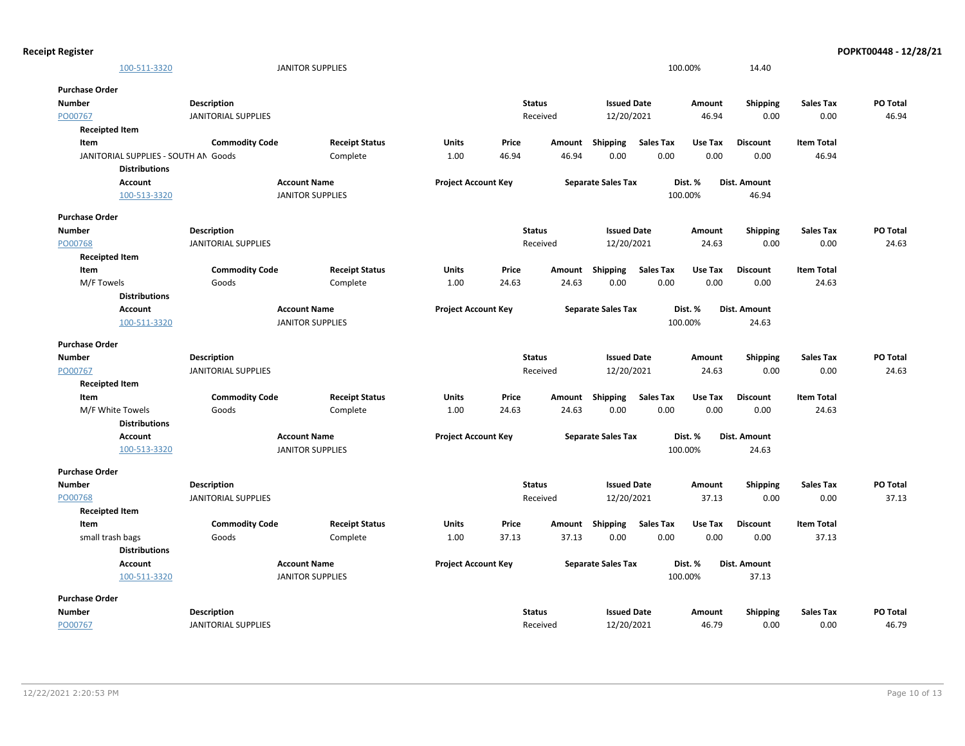| <b>Receipt Register</b>              |                            |                         |                            |       |               |                           |                  |         |                 |                   | POPKT00448 - 12/28/21 |
|--------------------------------------|----------------------------|-------------------------|----------------------------|-------|---------------|---------------------------|------------------|---------|-----------------|-------------------|-----------------------|
| 100-511-3320                         |                            | <b>JANITOR SUPPLIES</b> |                            |       |               |                           |                  | 100.00% | 14.40           |                   |                       |
| <b>Purchase Order</b>                |                            |                         |                            |       |               |                           |                  |         |                 |                   |                       |
| <b>Number</b>                        | <b>Description</b>         |                         |                            |       | <b>Status</b> | <b>Issued Date</b>        |                  | Amount  | <b>Shipping</b> | <b>Sales Tax</b>  | PO Total              |
| PO00767                              | <b>JANITORIAL SUPPLIES</b> |                         |                            |       | Received      | 12/20/2021                |                  | 46.94   | 0.00            | 0.00              | 46.94                 |
| <b>Receipted Item</b>                |                            |                         |                            |       |               |                           |                  |         |                 |                   |                       |
| Item                                 | <b>Commodity Code</b>      | <b>Receipt Status</b>   | <b>Units</b>               | Price | Amount        | Shipping                  | <b>Sales Tax</b> | Use Tax | <b>Discount</b> | <b>Item Total</b> |                       |
| JANITORIAL SUPPLIES - SOUTH AN Goods |                            | Complete                | 1.00                       | 46.94 | 46.94         | 0.00                      | 0.00             | 0.00    | 0.00            | 46.94             |                       |
| <b>Distributions</b>                 |                            |                         |                            |       |               |                           |                  |         |                 |                   |                       |
| Account                              |                            | <b>Account Name</b>     | <b>Project Account Key</b> |       |               | <b>Separate Sales Tax</b> |                  | Dist. % | Dist. Amount    |                   |                       |
| 100-513-3320                         |                            | <b>JANITOR SUPPLIES</b> |                            |       |               |                           |                  | 100.00% | 46.94           |                   |                       |
|                                      |                            |                         |                            |       |               |                           |                  |         |                 |                   |                       |
| <b>Purchase Order</b>                |                            |                         |                            |       |               |                           |                  |         |                 |                   |                       |
| <b>Number</b>                        | <b>Description</b>         |                         |                            |       | <b>Status</b> | <b>Issued Date</b>        |                  | Amount  | <b>Shipping</b> | <b>Sales Tax</b>  | PO Total              |
| PO00768                              | <b>JANITORIAL SUPPLIES</b> |                         |                            |       | Received      | 12/20/2021                |                  | 24.63   | 0.00            | 0.00              | 24.63                 |
| <b>Receipted Item</b>                |                            |                         |                            |       |               |                           |                  |         |                 |                   |                       |
| Item                                 | <b>Commodity Code</b>      | <b>Receipt Status</b>   | <b>Units</b>               | Price |               | Amount Shipping Sales Tax |                  | Use Tax | <b>Discount</b> | <b>Item Total</b> |                       |
| M/F Towels                           | Goods                      | Complete                | 1.00                       | 24.63 | 24.63         | 0.00                      | 0.00             | 0.00    | 0.00            | 24.63             |                       |
| <b>Distributions</b>                 |                            |                         |                            |       |               |                           |                  |         |                 |                   |                       |
| Account                              |                            | <b>Account Name</b>     | <b>Project Account Key</b> |       |               | <b>Separate Sales Tax</b> |                  | Dist. % | Dist. Amount    |                   |                       |
| 100-511-3320                         |                            | <b>JANITOR SUPPLIES</b> |                            |       |               |                           |                  | 100.00% | 24.63           |                   |                       |
| <b>Purchase Order</b>                |                            |                         |                            |       |               |                           |                  |         |                 |                   |                       |
| <b>Number</b>                        | <b>Description</b>         |                         |                            |       | <b>Status</b> | <b>Issued Date</b>        |                  | Amount  | <b>Shipping</b> | <b>Sales Tax</b>  | <b>PO Total</b>       |
| PO00767                              | <b>JANITORIAL SUPPLIES</b> |                         |                            |       | Received      | 12/20/2021                |                  | 24.63   | 0.00            | 0.00              | 24.63                 |
| <b>Receipted Item</b>                |                            |                         |                            |       |               |                           |                  |         |                 |                   |                       |
| Item                                 | <b>Commodity Code</b>      | <b>Receipt Status</b>   | <b>Units</b>               | Price |               | Amount Shipping           | Sales Tax        | Use Tax | <b>Discount</b> | <b>Item Total</b> |                       |
| M/F White Towels                     | Goods                      | Complete                | 1.00                       | 24.63 | 24.63         | 0.00                      | 0.00             | 0.00    | 0.00            | 24.63             |                       |
| <b>Distributions</b>                 |                            |                         |                            |       |               |                           |                  |         |                 |                   |                       |
| Account                              |                            | <b>Account Name</b>     | <b>Project Account Key</b> |       |               | <b>Separate Sales Tax</b> |                  | Dist. % | Dist. Amount    |                   |                       |
| 100-513-3320                         |                            | <b>JANITOR SUPPLIES</b> |                            |       |               |                           |                  | 100.00% | 24.63           |                   |                       |
| <b>Purchase Order</b>                |                            |                         |                            |       |               |                           |                  |         |                 |                   |                       |
| <b>Number</b>                        | Description                |                         |                            |       | <b>Status</b> | <b>Issued Date</b>        |                  | Amount  | <b>Shipping</b> | <b>Sales Tax</b>  | PO Total              |
| PO00768                              | <b>JANITORIAL SUPPLIES</b> |                         |                            |       | Received      | 12/20/2021                |                  | 37.13   | 0.00            | 0.00              | 37.13                 |
| <b>Receipted Item</b>                |                            |                         |                            |       |               |                           |                  |         |                 |                   |                       |
| Item                                 | <b>Commodity Code</b>      | <b>Receipt Status</b>   | Units                      | Price |               | Amount Shipping           | <b>Sales Tax</b> | Use Tax | <b>Discount</b> | <b>Item Total</b> |                       |
| small trash bags                     | Goods                      | Complete                | 1.00                       | 37.13 | 37.13         | 0.00                      | 0.00             | 0.00    | 0.00            | 37.13             |                       |
| <b>Distributions</b>                 |                            |                         |                            |       |               |                           |                  |         |                 |                   |                       |
| Account                              |                            | <b>Account Name</b>     | <b>Project Account Key</b> |       |               | <b>Separate Sales Tax</b> |                  | Dist. % | Dist. Amount    |                   |                       |
| 100-511-3320                         |                            | <b>JANITOR SUPPLIES</b> |                            |       |               |                           |                  | 100.00% | 37.13           |                   |                       |
| <b>Purchase Order</b>                |                            |                         |                            |       |               |                           |                  |         |                 |                   |                       |
| Number                               | <b>Description</b>         |                         |                            |       | <b>Status</b> | <b>Issued Date</b>        |                  | Amount  | <b>Shipping</b> | <b>Sales Tax</b>  | PO Total              |
| PO00767                              | <b>JANITORIAL SUPPLIES</b> |                         |                            |       | Received      | 12/20/2021                |                  | 46.79   | 0.00            | 0.00              | 46.79                 |
|                                      |                            |                         |                            |       |               |                           |                  |         |                 |                   |                       |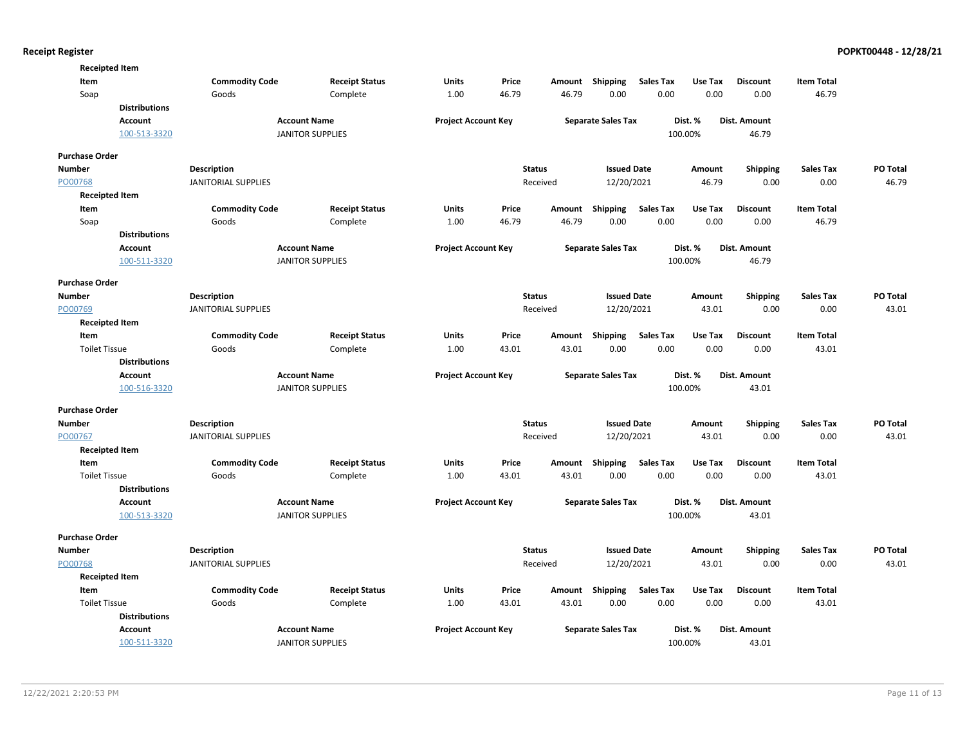| <b>Receipted Item</b> |                      |                                                  |                         |                            |               |          |                           |                  |                 |                         |                          |          |
|-----------------------|----------------------|--------------------------------------------------|-------------------------|----------------------------|---------------|----------|---------------------------|------------------|-----------------|-------------------------|--------------------------|----------|
| Item                  |                      | <b>Commodity Code</b>                            | <b>Receipt Status</b>   | Units                      | Price         | Amount   | Shipping                  | <b>Sales Tax</b> | Use Tax         | <b>Discount</b>         | <b>Item Total</b>        |          |
| Soap                  |                      | Goods                                            | Complete                | 1.00                       | 46.79         | 46.79    | 0.00                      | 0.00             | 0.00            | 0.00                    | 46.79                    |          |
|                       | <b>Distributions</b> |                                                  |                         |                            |               |          |                           |                  |                 |                         |                          |          |
|                       | Account              |                                                  | <b>Account Name</b>     | <b>Project Account Key</b> |               |          | <b>Separate Sales Tax</b> |                  | Dist. %         | Dist. Amount            |                          |          |
|                       | 100-513-3320         |                                                  | <b>JANITOR SUPPLIES</b> |                            |               |          |                           |                  | 100.00%         | 46.79                   |                          |          |
| <b>Purchase Order</b> |                      |                                                  |                         |                            |               |          |                           |                  |                 |                         |                          |          |
| <b>Number</b>         |                      |                                                  |                         |                            | <b>Status</b> |          | <b>Issued Date</b>        |                  |                 |                         |                          | PO Total |
| PO00768               |                      | <b>Description</b><br><b>JANITORIAL SUPPLIES</b> |                         |                            |               | Received | 12/20/2021                |                  | Amount<br>46.79 | <b>Shipping</b><br>0.00 | <b>Sales Tax</b><br>0.00 | 46.79    |
| <b>Receipted Item</b> |                      |                                                  |                         |                            |               |          |                           |                  |                 |                         |                          |          |
| Item                  |                      | <b>Commodity Code</b>                            | <b>Receipt Status</b>   | <b>Units</b>               | Price         |          | Amount Shipping           | <b>Sales Tax</b> | Use Tax         | <b>Discount</b>         | <b>Item Total</b>        |          |
| Soap                  |                      | Goods                                            | Complete                | 1.00                       | 46.79         | 46.79    | 0.00                      | 0.00             | 0.00            | 0.00                    | 46.79                    |          |
|                       | <b>Distributions</b> |                                                  |                         |                            |               |          |                           |                  |                 |                         |                          |          |
|                       | Account              |                                                  | <b>Account Name</b>     | <b>Project Account Key</b> |               |          | <b>Separate Sales Tax</b> |                  | Dist. %         | Dist. Amount            |                          |          |
|                       | 100-511-3320         |                                                  | <b>JANITOR SUPPLIES</b> |                            |               |          |                           |                  | 100.00%         | 46.79                   |                          |          |
|                       |                      |                                                  |                         |                            |               |          |                           |                  |                 |                         |                          |          |
| <b>Purchase Order</b> |                      |                                                  |                         |                            |               |          |                           |                  |                 |                         |                          |          |
| <b>Number</b>         |                      | <b>Description</b>                               |                         |                            | <b>Status</b> |          | <b>Issued Date</b>        |                  | Amount          | Shipping                | <b>Sales Tax</b>         | PO Total |
| PO00769               |                      | <b>JANITORIAL SUPPLIES</b>                       |                         |                            |               | Received | 12/20/2021                |                  | 43.01           | 0.00                    | 0.00                     | 43.01    |
| <b>Receipted Item</b> |                      |                                                  |                         |                            |               |          |                           |                  |                 |                         |                          |          |
| Item                  |                      | <b>Commodity Code</b>                            | <b>Receipt Status</b>   | <b>Units</b>               | Price         | Amount   | <b>Shipping</b>           | <b>Sales Tax</b> | Use Tax         | <b>Discount</b>         | <b>Item Total</b>        |          |
| <b>Toilet Tissue</b>  |                      | Goods                                            | Complete                | 1.00                       | 43.01         | 43.01    | 0.00                      | 0.00             | 0.00            | 0.00                    | 43.01                    |          |
|                       | <b>Distributions</b> |                                                  |                         |                            |               |          |                           |                  |                 |                         |                          |          |
|                       | <b>Account</b>       |                                                  | <b>Account Name</b>     | <b>Project Account Key</b> |               |          | <b>Separate Sales Tax</b> |                  | Dist. %         | <b>Dist. Amount</b>     |                          |          |
|                       | 100-516-3320         |                                                  | <b>JANITOR SUPPLIES</b> |                            |               |          |                           |                  | 100.00%         | 43.01                   |                          |          |
| <b>Purchase Order</b> |                      |                                                  |                         |                            |               |          |                           |                  |                 |                         |                          |          |
| Number                |                      | <b>Description</b>                               |                         |                            | <b>Status</b> |          | <b>Issued Date</b>        |                  | Amount          | Shipping                | <b>Sales Tax</b>         | PO Total |
| PO00767               |                      | <b>JANITORIAL SUPPLIES</b>                       |                         |                            |               | Received | 12/20/2021                |                  | 43.01           | 0.00                    | 0.00                     | 43.01    |
| <b>Receipted Item</b> |                      |                                                  |                         |                            |               |          |                           |                  |                 |                         |                          |          |
| Item                  |                      | <b>Commodity Code</b>                            | <b>Receipt Status</b>   | <b>Units</b>               | Price         | Amount   | Shipping                  | <b>Sales Tax</b> | Use Tax         | <b>Discount</b>         | <b>Item Total</b>        |          |
| <b>Toilet Tissue</b>  |                      | Goods                                            | Complete                | 1.00                       | 43.01         | 43.01    | 0.00                      | 0.00             | 0.00            | 0.00                    | 43.01                    |          |
|                       | <b>Distributions</b> |                                                  |                         |                            |               |          |                           |                  |                 |                         |                          |          |
|                       | <b>Account</b>       |                                                  | <b>Account Name</b>     | <b>Project Account Key</b> |               |          | <b>Separate Sales Tax</b> |                  | Dist. %         | <b>Dist. Amount</b>     |                          |          |
|                       | 100-513-3320         |                                                  | <b>JANITOR SUPPLIES</b> |                            |               |          |                           |                  | 100.00%         | 43.01                   |                          |          |
| <b>Purchase Order</b> |                      |                                                  |                         |                            |               |          |                           |                  |                 |                         |                          |          |
| Number                |                      | <b>Description</b>                               |                         |                            | <b>Status</b> |          | <b>Issued Date</b>        |                  | Amount          | <b>Shipping</b>         | <b>Sales Tax</b>         | PO Total |
| PO00768               |                      | <b>JANITORIAL SUPPLIES</b>                       |                         |                            |               | Received | 12/20/2021                |                  | 43.01           | 0.00                    | 0.00                     | 43.01    |
| <b>Receipted Item</b> |                      |                                                  |                         |                            |               |          |                           |                  |                 |                         |                          |          |
| Item                  |                      | <b>Commodity Code</b>                            | <b>Receipt Status</b>   | Units                      | Price         |          | Amount Shipping           | <b>Sales Tax</b> | Use Tax         | <b>Discount</b>         | <b>Item Total</b>        |          |
| <b>Toilet Tissue</b>  |                      | Goods                                            | Complete                | 1.00                       | 43.01         | 43.01    | 0.00                      | 0.00             | 0.00            | 0.00                    | 43.01                    |          |
|                       | <b>Distributions</b> |                                                  |                         |                            |               |          |                           |                  |                 |                         |                          |          |
|                       | <b>Account</b>       |                                                  | <b>Account Name</b>     | <b>Project Account Key</b> |               |          | <b>Separate Sales Tax</b> |                  | Dist. %         | <b>Dist. Amount</b>     |                          |          |
|                       | 100-511-3320         |                                                  | <b>JANITOR SUPPLIES</b> |                            |               |          |                           |                  | 100.00%         | 43.01                   |                          |          |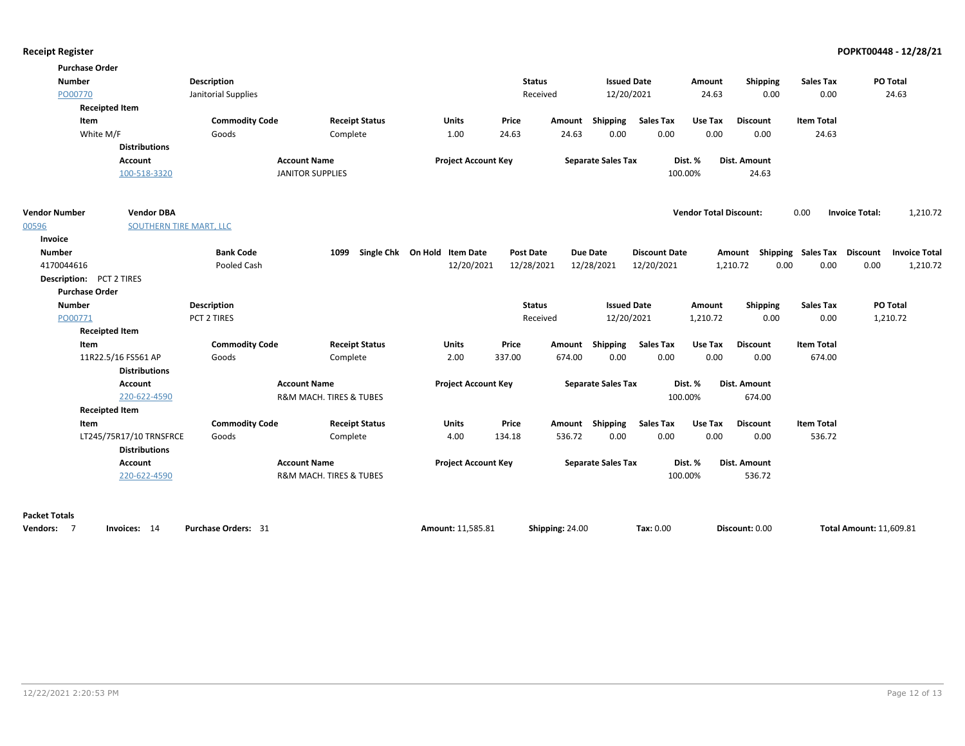| <b>Purchase Order</b><br><b>Number</b><br>PO00770<br><b>Receipted Item</b><br>Item<br>White M/F | <b>Distributions</b><br>Account              | <b>Description</b><br>Janitorial Supplies<br><b>Commodity Code</b><br>Goods | <b>Receipt Status</b><br>Complete<br><b>Account Name</b> | <b>Units</b><br>1.00<br><b>Project Account Key</b> | <b>Status</b><br>Received<br>Price<br>24.63 | Amount<br>24.63 | <b>Issued Date</b><br>12/20/2021<br>Shipping<br>0.00<br><b>Separate Sales Tax</b> | <b>Sales Tax</b><br>0.00 | Amount<br>24.63<br>Use Tax<br>0.00<br>Dist. % | Shipping<br>0.00<br><b>Discount</b><br>0.00<br><b>Dist. Amount</b> | <b>Sales Tax</b><br>0.00<br><b>Item Total</b><br>24.63 |                       | PO Total<br>24.63    |
|-------------------------------------------------------------------------------------------------|----------------------------------------------|-----------------------------------------------------------------------------|----------------------------------------------------------|----------------------------------------------------|---------------------------------------------|-----------------|-----------------------------------------------------------------------------------|--------------------------|-----------------------------------------------|--------------------------------------------------------------------|--------------------------------------------------------|-----------------------|----------------------|
|                                                                                                 | 100-518-3320                                 |                                                                             | <b>JANITOR SUPPLIES</b>                                  |                                                    |                                             |                 |                                                                                   |                          | 100.00%                                       | 24.63                                                              |                                                        |                       |                      |
| <b>Vendor Number</b><br>00596<br>Invoice                                                        | <b>Vendor DBA</b><br>SOUTHERN TIRE MART, LLC |                                                                             |                                                          |                                                    |                                             |                 |                                                                                   |                          | <b>Vendor Total Discount:</b>                 |                                                                    | 0.00                                                   | <b>Invoice Total:</b> | 1,210.72             |
| <b>Number</b>                                                                                   |                                              | <b>Bank Code</b>                                                            | 1099                                                     | Single Chk On Hold Item Date                       | <b>Post Date</b>                            |                 | <b>Due Date</b>                                                                   | <b>Discount Date</b>     |                                               | Amount Shipping Sales Tax                                          |                                                        | <b>Discount</b>       | <b>Invoice Total</b> |
| 4170044616                                                                                      |                                              | Pooled Cash                                                                 |                                                          | 12/20/2021                                         | 12/28/2021                                  |                 | 12/28/2021                                                                        | 12/20/2021               |                                               | 1,210.72<br>0.00                                                   | 0.00                                                   | 0.00                  | 1,210.72             |
| <b>Description:</b> PCT 2 TIRES                                                                 |                                              |                                                                             |                                                          |                                                    |                                             |                 |                                                                                   |                          |                                               |                                                                    |                                                        |                       |                      |
| <b>Purchase Order</b>                                                                           |                                              |                                                                             |                                                          |                                                    |                                             |                 |                                                                                   |                          |                                               |                                                                    |                                                        |                       |                      |
| <b>Number</b>                                                                                   |                                              | <b>Description</b><br>PCT 2 TIRES                                           |                                                          |                                                    | <b>Status</b>                               |                 | <b>Issued Date</b>                                                                |                          | Amount                                        | Shipping<br>0.00                                                   | <b>Sales Tax</b>                                       |                       | PO Total             |
| PO00771<br><b>Receipted Item</b>                                                                |                                              |                                                                             |                                                          |                                                    | Received                                    |                 | 12/20/2021                                                                        |                          | 1,210.72                                      |                                                                    | 0.00                                                   |                       | 1,210.72             |
| Item                                                                                            |                                              | <b>Commodity Code</b>                                                       | <b>Receipt Status</b>                                    | <b>Units</b>                                       | Price                                       | Amount          | Shipping                                                                          | <b>Sales Tax</b>         | Use Tax                                       | <b>Discount</b>                                                    | <b>Item Total</b>                                      |                       |                      |
|                                                                                                 | 11R22.5/16 FS561 AP                          | Goods                                                                       | Complete                                                 | 2.00                                               | 337.00                                      | 674.00          | 0.00                                                                              | 0.00                     | 0.00                                          | 0.00                                                               | 674.00                                                 |                       |                      |
|                                                                                                 | <b>Distributions</b>                         |                                                                             |                                                          |                                                    |                                             |                 |                                                                                   |                          |                                               |                                                                    |                                                        |                       |                      |
|                                                                                                 | Account                                      |                                                                             | <b>Account Name</b>                                      | <b>Project Account Key</b>                         |                                             |                 | <b>Separate Sales Tax</b>                                                         |                          | Dist. %                                       | Dist. Amount                                                       |                                                        |                       |                      |
|                                                                                                 | 220-622-4590                                 |                                                                             | R&M MACH. TIRES & TUBES                                  |                                                    |                                             |                 |                                                                                   |                          | 100.00%                                       | 674.00                                                             |                                                        |                       |                      |
| <b>Receipted Item</b>                                                                           |                                              |                                                                             |                                                          |                                                    |                                             |                 |                                                                                   |                          |                                               |                                                                    |                                                        |                       |                      |
| Item                                                                                            |                                              | <b>Commodity Code</b>                                                       | <b>Receipt Status</b>                                    | <b>Units</b>                                       | Price                                       |                 | Amount Shipping                                                                   | <b>Sales Tax</b>         | Use Tax                                       | Discount                                                           | <b>Item Total</b>                                      |                       |                      |
|                                                                                                 | LT245/75R17/10 TRNSFRCE                      | Goods                                                                       | Complete                                                 | 4.00                                               | 134.18                                      | 536.72          | 0.00                                                                              | 0.00                     | 0.00                                          | 0.00                                                               | 536.72                                                 |                       |                      |
|                                                                                                 | <b>Distributions</b><br>Account              |                                                                             | <b>Account Name</b>                                      | <b>Project Account Key</b>                         |                                             |                 |                                                                                   |                          | Dist. %                                       | Dist. Amount                                                       |                                                        |                       |                      |
|                                                                                                 | 220-622-4590                                 |                                                                             | R&M MACH. TIRES & TUBES                                  |                                                    |                                             |                 | <b>Separate Sales Tax</b>                                                         |                          | 100.00%                                       | 536.72                                                             |                                                        |                       |                      |
|                                                                                                 |                                              |                                                                             |                                                          |                                                    |                                             |                 |                                                                                   |                          |                                               |                                                                    |                                                        |                       |                      |

### **Packet Totals**

| <b>Vendors:</b><br>Shipping: 24.00<br><b>Total Amount: 11,609.81</b><br>Discount: 0.00<br>Tax: 0.00<br>Invoices: 14<br><b>Purchase Orders:</b><br>Amount: 11,585.81<br>- 31 |  |
|-----------------------------------------------------------------------------------------------------------------------------------------------------------------------------|--|
|-----------------------------------------------------------------------------------------------------------------------------------------------------------------------------|--|